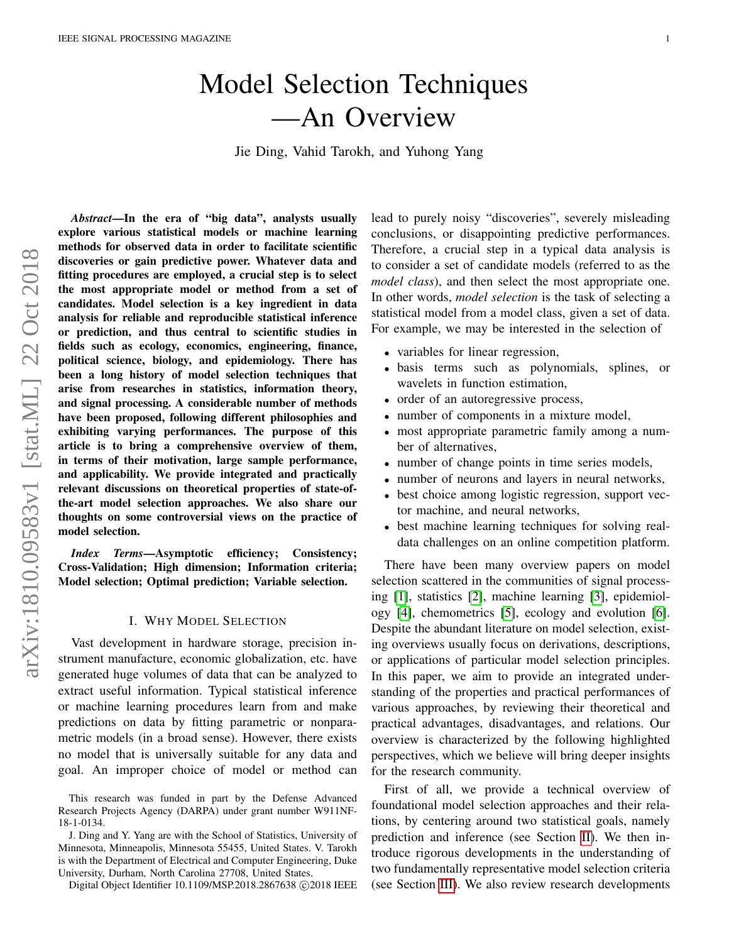# Model Selection Techniques —An Overview

Jie Ding, Vahid Tarokh, and Yuhong Yang

*Abstract*—In the era of "big data", analysts usually explore various statistical models or machine learning methods for observed data in order to facilitate scientific discoveries or gain predictive power. Whatever data and fitting procedures are employed, a crucial step is to select the most appropriate model or method from a set of candidates. Model selection is a key ingredient in data analysis for reliable and reproducible statistical inference or prediction, and thus central to scientific studies in fields such as ecology, economics, engineering, finance, political science, biology, and epidemiology. There has been a long history of model selection techniques that arise from researches in statistics, information theory, and signal processing. A considerable number of methods have been proposed, following different philosophies and exhibiting varying performances. The purpose of this article is to bring a comprehensive overview of them, in terms of their motivation, large sample performance, and applicability. We provide integrated and practically relevant discussions on theoretical properties of state-ofthe-art model selection approaches. We also share our thoughts on some controversial views on the practice of model selection.

*Index Terms*—Asymptotic efficiency; Consistency; Cross-Validation; High dimension; Information criteria; Model selection; Optimal prediction; Variable selection.

#### I. WHY MODEL SELECTION

Vast development in hardware storage, precision instrument manufacture, economic globalization, etc. have generated huge volumes of data that can be analyzed to extract useful information. Typical statistical inference or machine learning procedures learn from and make predictions on data by fitting parametric or nonparametric models (in a broad sense). However, there exists no model that is universally suitable for any data and goal. An improper choice of model or method can lead to purely noisy "discoveries", severely misleading conclusions, or disappointing predictive performances. Therefore, a crucial step in a typical data analysis is to consider a set of candidate models (referred to as the *model class*), and then select the most appropriate one. In other words, *model selection* is the task of selecting a statistical model from a model class, given a set of data. For example, we may be interested in the selection of

- variables for linear regression,
- basis terms such as polynomials, splines, or wavelets in function estimation,
- order of an autoregressive process,
- number of components in a mixture model,
- most appropriate parametric family among a number of alternatives,
- number of change points in time series models,
- number of neurons and layers in neural networks,
- best choice among logistic regression, support vector machine, and neural networks,
- best machine learning techniques for solving realdata challenges on an online competition platform.

There have been many overview papers on model selection scattered in the communities of signal processing [\[1\]](#page-18-0), statistics [\[2\]](#page-18-1), machine learning [\[3\]](#page-18-2), epidemiology [\[4\]](#page-18-3), chemometrics [\[5\]](#page-18-4), ecology and evolution [\[6\]](#page-18-5). Despite the abundant literature on model selection, existing overviews usually focus on derivations, descriptions, or applications of particular model selection principles. In this paper, we aim to provide an integrated understanding of the properties and practical performances of various approaches, by reviewing their theoretical and practical advantages, disadvantages, and relations. Our overview is characterized by the following highlighted perspectives, which we believe will bring deeper insights for the research community.

First of all, we provide a technical overview of foundational model selection approaches and their relations, by centering around two statistical goals, namely prediction and inference (see Section [II\)](#page-4-0). We then introduce rigorous developments in the understanding of two fundamentally representative model selection criteria (see Section [III\)](#page-9-0). We also review research developments

This research was funded in part by the Defense Advanced Research Projects Agency (DARPA) under grant number W911NF-18-1-0134.

J. Ding and Y. Yang are with the School of Statistics, University of Minnesota, Minneapolis, Minnesota 55455, United States. V. Tarokh is with the Department of Electrical and Computer Engineering, Duke University, Durham, North Carolina 27708, United States.

Digital Object Identifier 10.1109/MSP.2018.2867638 © 2018 IEEE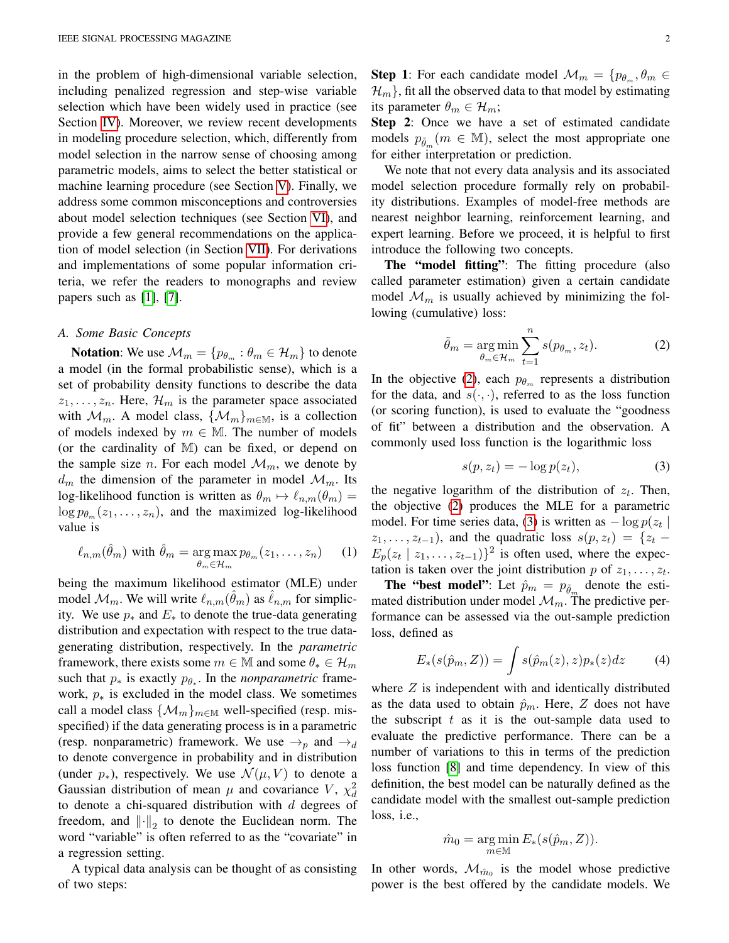in the problem of high-dimensional variable selection, including penalized regression and step-wise variable selection which have been widely used in practice (see Section [IV\)](#page-11-0). Moreover, we review recent developments in modeling procedure selection, which, differently from model selection in the narrow sense of choosing among parametric models, aims to select the better statistical or machine learning procedure (see Section [V\)](#page-14-0). Finally, we address some common misconceptions and controversies about model selection techniques (see Section [VI\)](#page-16-0), and provide a few general recommendations on the application of model selection (in Section [VII\)](#page-17-0). For derivations and implementations of some popular information criteria, we refer the readers to monographs and review papers such as [\[1\]](#page-18-0), [\[7\]](#page-18-6).

#### *A. Some Basic Concepts*

**Notation:** We use  $\mathcal{M}_m = \{p_{\theta_m} : \theta_m \in \mathcal{H}_m\}$  to denote a model (in the formal probabilistic sense), which is a set of probability density functions to describe the data  $z_1, \ldots, z_n$ . Here,  $\mathcal{H}_m$  is the parameter space associated with  $\mathcal{M}_m$ . A model class,  $\{\mathcal{M}_m\}_{m\in\mathbb{M}}$ , is a collection of models indexed by  $m \in \mathbb{M}$ . The number of models (or the cardinality of M) can be fixed, or depend on the sample size *n*. For each model  $\mathcal{M}_m$ , we denote by  $d_m$  the dimension of the parameter in model  $\mathcal{M}_m$ . Its log-likelihood function is written as  $\theta_m \mapsto \ell_{n,m}(\theta_m) =$  $\log p_{\theta_m}(z_1, \ldots, z_n)$ , and the maximized log-likelihood value is

$$
\ell_{n,m}(\hat{\theta}_m) \text{ with } \hat{\theta}_m = \underset{\theta_m \in \mathcal{H}_m}{\arg \max} p_{\theta_m}(z_1, \dots, z_n) \qquad (1)
$$

being the maximum likelihood estimator (MLE) under model  $\mathcal{M}_m$ . We will write  $\ell_{n,m}(\hat{\theta}_m)$  as  $\hat{\ell}_{n,m}$  for simplicity. We use  $p_*$  and  $E_*$  to denote the true-data generating distribution and expectation with respect to the true datagenerating distribution, respectively. In the *parametric* framework, there exists some  $m \in \mathbb{M}$  and some  $\theta_* \in \mathcal{H}_m$ such that  $p_*$  is exactly  $p_{\theta_*}$ . In the *nonparametric* framework,  $p_*$  is excluded in the model class. We sometimes call a model class  $\{\mathcal{M}_m\}_{m\in\mathbb{M}}$  well-specified (resp. misspecified) if the data generating process is in a parametric (resp. nonparametric) framework. We use  $\rightarrow_p$  and  $\rightarrow_d$ to denote convergence in probability and in distribution (under  $p_{*}$ ), respectively. We use  $\mathcal{N}(\mu, V)$  to denote a Gaussian distribution of mean  $\mu$  and covariance V,  $\chi_d^2$ to denote a chi-squared distribution with  $d$  degrees of freedom, and  $\left\| \cdot \right\|_2$  to denote the Euclidean norm. The word "variable" is often referred to as the "covariate" in a regression setting.

A typical data analysis can be thought of as consisting of two steps:

**Step 1:** For each candidate model  $\mathcal{M}_m = \{p_{\theta_m}, \theta_m \in$  $\mathcal{H}_m$ , fit all the observed data to that model by estimating its parameter  $\theta_m \in \mathcal{H}_m$ ;

Step 2: Once we have a set of estimated candidate models  $p_{\tilde{\theta}_m}(m \in \mathbb{M})$ , select the most appropriate one for either interpretation or prediction.

We note that not every data analysis and its associated model selection procedure formally rely on probability distributions. Examples of model-free methods are nearest neighbor learning, reinforcement learning, and expert learning. Before we proceed, it is helpful to first introduce the following two concepts.

The "model fitting": The fitting procedure (also called parameter estimation) given a certain candidate model  $\mathcal{M}_m$  is usually achieved by minimizing the following (cumulative) loss:

<span id="page-1-0"></span>
$$
\tilde{\theta}_m = \underset{\theta_m \in \mathcal{H}_m}{\arg \min} \sum_{t=1}^n s(p_{\theta_m}, z_t). \tag{2}
$$

In the objective [\(2\)](#page-1-0), each  $p_{\theta_m}$  represents a distribution for the data, and  $s(\cdot, \cdot)$ , referred to as the loss function (or scoring function), is used to evaluate the "goodness of fit" between a distribution and the observation. A commonly used loss function is the logarithmic loss

<span id="page-1-1"></span>
$$
s(p, z_t) = -\log p(z_t),\tag{3}
$$

the negative logarithm of the distribution of  $z_t$ . Then, the objective [\(2\)](#page-1-0) produces the MLE for a parametric model. For time series data, [\(3\)](#page-1-1) is written as  $-\log p(z_t)$  $z_1, \ldots, z_{t-1}$ , and the quadratic loss  $s(p, z_t) = \{z_t E_p(z_t \mid z_1, \ldots, z_{t-1})^2$  is often used, where the expectation is taken over the joint distribution p of  $z_1, \ldots, z_t$ .

<span id="page-1-3"></span>**The "best model"**: Let  $\hat{p}_m = p_{\tilde{\theta}_m}$  denote the estimated distribution under model  $\mathcal{M}_m$ . The predictive performance can be assessed via the out-sample prediction loss, defined as

<span id="page-1-2"></span>
$$
E_*(s(\hat{p}_m, Z)) = \int s(\hat{p}_m(z), z) p_*(z) dz \tag{4}
$$

where  $Z$  is independent with and identically distributed as the data used to obtain  $\hat{p}_m$ . Here, Z does not have the subscript  $t$  as it is the out-sample data used to evaluate the predictive performance. There can be a number of variations to this in terms of the prediction loss function [\[8\]](#page-18-7) and time dependency. In view of this definition, the best model can be naturally defined as the candidate model with the smallest out-sample prediction loss, i.e.,

$$
\hat{m}_0 = \underset{m \in \mathbb{M}}{\arg \min} E_*(s(\hat{p}_m, Z)).
$$

In other words,  $\mathcal{M}_{\hat{m}_0}$  is the model whose predictive power is the best offered by the candidate models. We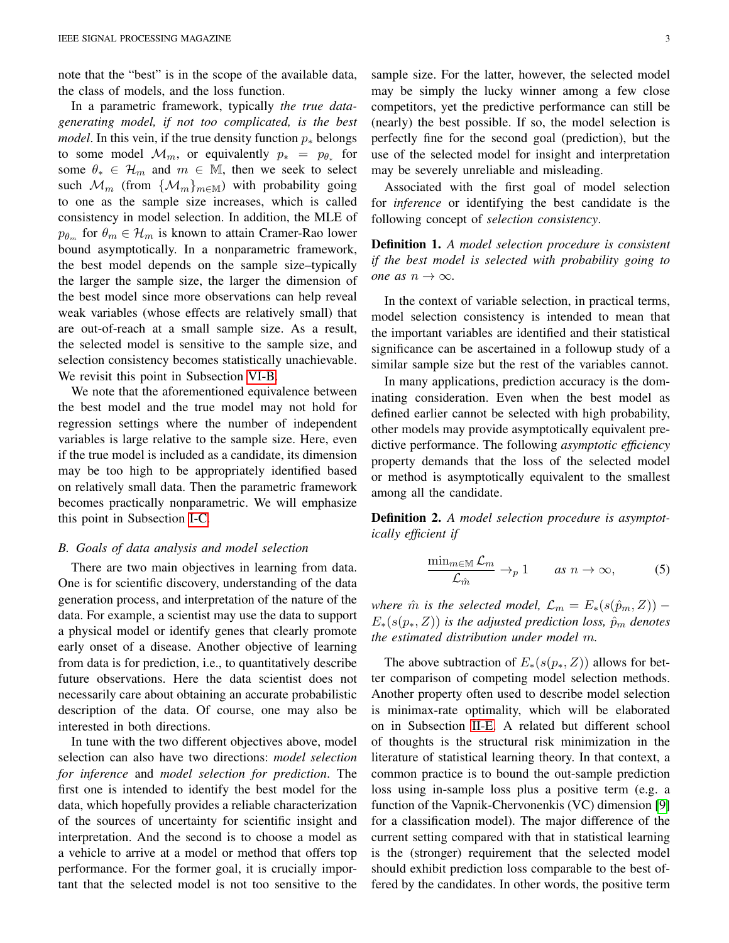note that the "best" is in the scope of the available data, the class of models, and the loss function.

In a parametric framework, typically *the true datagenerating model, if not too complicated, is the best model*. In this vein, if the true density function  $p_*$  belongs to some model  $\mathcal{M}_m$ , or equivalently  $p_* = p_{\theta_*}$  for some  $\theta_* \in \mathcal{H}_m$  and  $m \in \mathbb{M}$ , then we seek to select such  $\mathcal{M}_m$  (from  $\{\mathcal{M}_m\}_{m\in\mathbb{M}}$ ) with probability going to one as the sample size increases, which is called consistency in model selection. In addition, the MLE of  $p_{\theta_m}$  for  $\theta_m \in \mathcal{H}_m$  is known to attain Cramer-Rao lower bound asymptotically. In a nonparametric framework, the best model depends on the sample size–typically the larger the sample size, the larger the dimension of the best model since more observations can help reveal weak variables (whose effects are relatively small) that are out-of-reach at a small sample size. As a result, the selected model is sensitive to the sample size, and selection consistency becomes statistically unachievable. We revisit this point in Subsection [VI-B.](#page-16-1)

We note that the aforementioned equivalence between the best model and the true model may not hold for regression settings where the number of independent variables is large relative to the sample size. Here, even if the true model is included as a candidate, its dimension may be too high to be appropriately identified based on relatively small data. Then the parametric framework becomes practically nonparametric. We will emphasize this point in Subsection [I-C.](#page-3-0)

#### *B. Goals of data analysis and model selection*

There are two main objectives in learning from data. One is for scientific discovery, understanding of the data generation process, and interpretation of the nature of the data. For example, a scientist may use the data to support a physical model or identify genes that clearly promote early onset of a disease. Another objective of learning from data is for prediction, i.e., to quantitatively describe future observations. Here the data scientist does not necessarily care about obtaining an accurate probabilistic description of the data. Of course, one may also be interested in both directions.

In tune with the two different objectives above, model selection can also have two directions: *model selection for inference* and *model selection for prediction*. The first one is intended to identify the best model for the data, which hopefully provides a reliable characterization of the sources of uncertainty for scientific insight and interpretation. And the second is to choose a model as a vehicle to arrive at a model or method that offers top performance. For the former goal, it is crucially important that the selected model is not too sensitive to the sample size. For the latter, however, the selected model may be simply the lucky winner among a few close competitors, yet the predictive performance can still be (nearly) the best possible. If so, the model selection is perfectly fine for the second goal (prediction), but the use of the selected model for insight and interpretation may be severely unreliable and misleading.

Associated with the first goal of model selection for *inference* or identifying the best candidate is the following concept of *selection consistency*.

Definition 1. *A model selection procedure is consistent if the best model is selected with probability going to one as*  $n \to \infty$ *.* 

In the context of variable selection, in practical terms, model selection consistency is intended to mean that the important variables are identified and their statistical significance can be ascertained in a followup study of a similar sample size but the rest of the variables cannot.

In many applications, prediction accuracy is the dominating consideration. Even when the best model as defined earlier cannot be selected with high probability, other models may provide asymptotically equivalent predictive performance. The following *asymptotic efficiency* property demands that the loss of the selected model or method is asymptotically equivalent to the smallest among all the candidate.

<span id="page-2-0"></span>Definition 2. *A model selection procedure is asymptotically efficient if*

<span id="page-2-1"></span>
$$
\frac{\min_{m\in\mathbb{M}}\mathcal{L}_m}{\mathcal{L}_{\hat{m}}}\to_p 1 \qquad \text{as } n\to\infty,\tag{5}
$$

*where*  $\hat{m}$  *is the selected model,*  $\mathcal{L}_m = E_*(s(\hat{p}_m, Z))$  –  $E_*(s(p_*, Z))$  *is the adjusted prediction loss,*  $\hat{p}_m$  *denotes the estimated distribution under model* m*.*

The above subtraction of  $E_*(s(p_*, Z))$  allows for better comparison of competing model selection methods. Another property often used to describe model selection is minimax-rate optimality, which will be elaborated on in Subsection [II-E.](#page-8-0) A related but different school of thoughts is the structural risk minimization in the literature of statistical learning theory. In that context, a common practice is to bound the out-sample prediction loss using in-sample loss plus a positive term (e.g. a function of the Vapnik-Chervonenkis (VC) dimension [\[9\]](#page-18-8) for a classification model). The major difference of the current setting compared with that in statistical learning is the (stronger) requirement that the selected model should exhibit prediction loss comparable to the best offered by the candidates. In other words, the positive term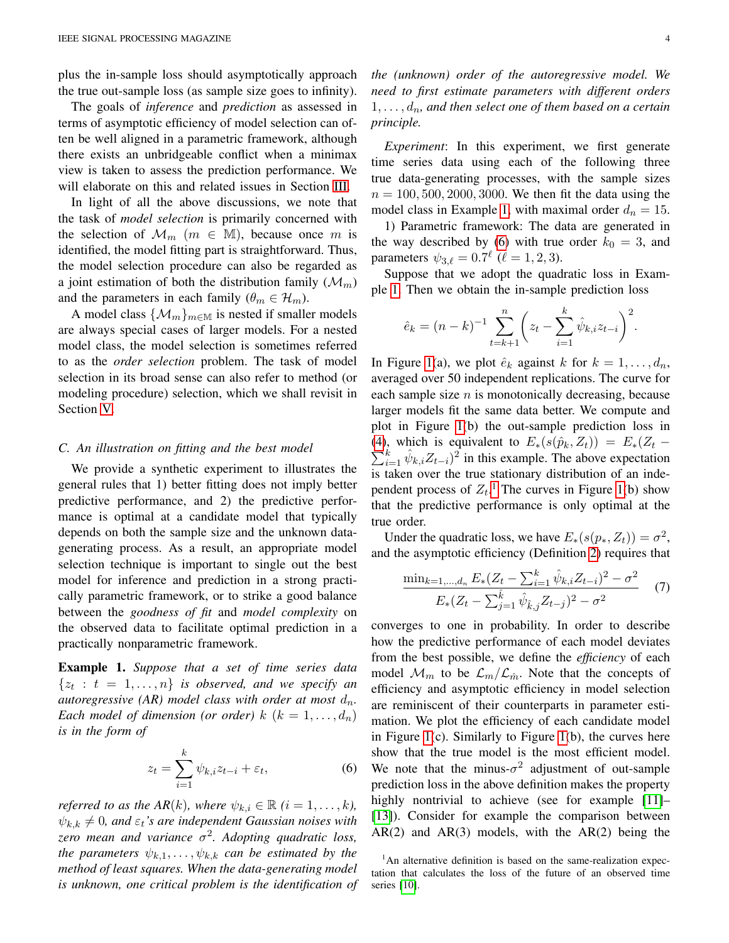plus the in-sample loss should asymptotically approach the true out-sample loss (as sample size goes to infinity).

The goals of *inference* and *prediction* as assessed in terms of asymptotic efficiency of model selection can often be well aligned in a parametric framework, although there exists an unbridgeable conflict when a minimax view is taken to assess the prediction performance. We will elaborate on this and related issues in Section [III.](#page-9-0)

In light of all the above discussions, we note that the task of *model selection* is primarily concerned with the selection of  $\mathcal{M}_m$  ( $m \in \mathbb{M}$ ), because once m is identified, the model fitting part is straightforward. Thus, the model selection procedure can also be regarded as a joint estimation of both the distribution family  $(\mathcal{M}_m)$ and the parameters in each family  $(\theta_m \in \mathcal{H}_m)$ .

A model class  $\{\mathcal{M}_m\}_{m\in\mathbb{M}}$  is nested if smaller models are always special cases of larger models. For a nested model class, the model selection is sometimes referred to as the *order selection* problem. The task of model selection in its broad sense can also refer to method (or modeling procedure) selection, which we shall revisit in Section [V.](#page-14-0)

#### <span id="page-3-0"></span>*C. An illustration on fitting and the best model*

We provide a synthetic experiment to illustrates the general rules that 1) better fitting does not imply better predictive performance, and 2) the predictive performance is optimal at a candidate model that typically depends on both the sample size and the unknown datagenerating process. As a result, an appropriate model selection technique is important to single out the best model for inference and prediction in a strong practically parametric framework, or to strike a good balance between the *goodness of fit* and *model complexity* on the observed data to facilitate optimal prediction in a practically nonparametric framework.

<span id="page-3-1"></span>Example 1. *Suppose that a set of time series data*  $\{z_t : t = 1, \ldots, n\}$  *is observed, and we specify an autoregressive (AR) model class with order at most*  $d_n$ . *Each model of dimension (or order)*  $k$   $(k = 1, \ldots, d_n)$ *is in the form of*

$$
z_t = \sum_{i=1}^k \psi_{k,i} z_{t-i} + \varepsilon_t, \tag{6}
$$

*referred to as the AR(k), where*  $\psi_{k,i} \in \mathbb{R}$  ( $i = 1, \ldots, k$ ),  $\psi_{k,k} \neq 0$ , and  $\varepsilon_t$ 's are independent Gaussian noises with *zero mean and variance* σ 2 *. Adopting quadratic loss, the parameters*  $\psi_{k,1}, \ldots, \psi_{k,k}$  *can be estimated by the method of least squares. When the data-generating model is unknown, one critical problem is the identification of*

*the (unknown) order of the autoregressive model. We need to first estimate parameters with different orders*  $1, \ldots, d_n$ , and then select one of them based on a certain *principle.*

*Experiment*: In this experiment, we first generate time series data using each of the following three true data-generating processes, with the sample sizes  $n = 100, 500, 2000, 3000$ . We then fit the data using the model class in Example [1,](#page-3-1) with maximal order  $d_n = 15$ .

1) Parametric framework: The data are generated in the way described by [\(6\)](#page-3-2) with true order  $k_0 = 3$ , and parameters  $\psi_{3,\ell} = 0.7^{\ell}$  ( $\ell = 1, 2, 3$ ).

Suppose that we adopt the quadratic loss in Example [1.](#page-3-1) Then we obtain the in-sample prediction loss

$$
\hat{e}_k = (n-k)^{-1} \sum_{t=k+1}^n \left( z_t - \sum_{i=1}^k \hat{\psi}_{k,i} z_{t-i} \right)^2.
$$

In Figure [1\(](#page-5-0)a), we plot  $\hat{e}_k$  against k for  $k = 1, \ldots, d_n$ , averaged over 50 independent replications. The curve for each sample size  $n$  is monotonically decreasing, because larger models fit the same data better. We compute and plot in Figure [1\(](#page-5-0)b) the out-sample prediction loss in [\(4\)](#page-1-2), which is equivalent to  $E_*(s(\hat{p}_k, Z_t)) = E_*(Z_t \sum_{i=1}^{k} \hat{\psi}_{k,i} Z_{t-i}$ <sup>2</sup> in this example. The above expectation is taken over the true stationary distribution of an independent process of  $Z_t$ .<sup>[1](#page-3-3)</sup> The curves in Figure [1\(](#page-5-0)b) show that the predictive performance is only optimal at the true order.

Under the quadratic loss, we have  $E_*(s(p_*, Z_t)) = \sigma^2$ , and the asymptotic efficiency (Definition [2\)](#page-2-0) requires that

<span id="page-3-4"></span>
$$
\frac{\min_{k=1,\dots,d_n} E_*(Z_t - \sum_{i=1}^k \hat{\psi}_{k,i} Z_{t-i})^2 - \sigma^2}{E_*(Z_t - \sum_{j=1}^k \hat{\psi}_{\hat{k},j} Z_{t-j})^2 - \sigma^2} \tag{7}
$$

converges to one in probability. In order to describe how the predictive performance of each model deviates from the best possible, we define the *efficiency* of each model  $\mathcal{M}_m$  to be  $\mathcal{L}_m/\mathcal{L}_{\hat{m}}$ . Note that the concepts of efficiency and asymptotic efficiency in model selection are reminiscent of their counterparts in parameter estimation. We plot the efficiency of each candidate model in Figure [1\(](#page-5-0)c). Similarly to Figure [1\(](#page-5-0)b), the curves here show that the true model is the most efficient model. We note that the minus- $\sigma^2$  adjustment of out-sample prediction loss in the above definition makes the property highly nontrivial to achieve (see for example [\[11\]](#page-18-9)– [\[13\]](#page-18-10)). Consider for example the comparison between  $AR(2)$  and  $AR(3)$  models, with the  $AR(2)$  being the

<span id="page-3-3"></span><span id="page-3-2"></span> $1$ An alternative definition is based on the same-realization expectation that calculates the loss of the future of an observed time series [\[10\]](#page-18-11).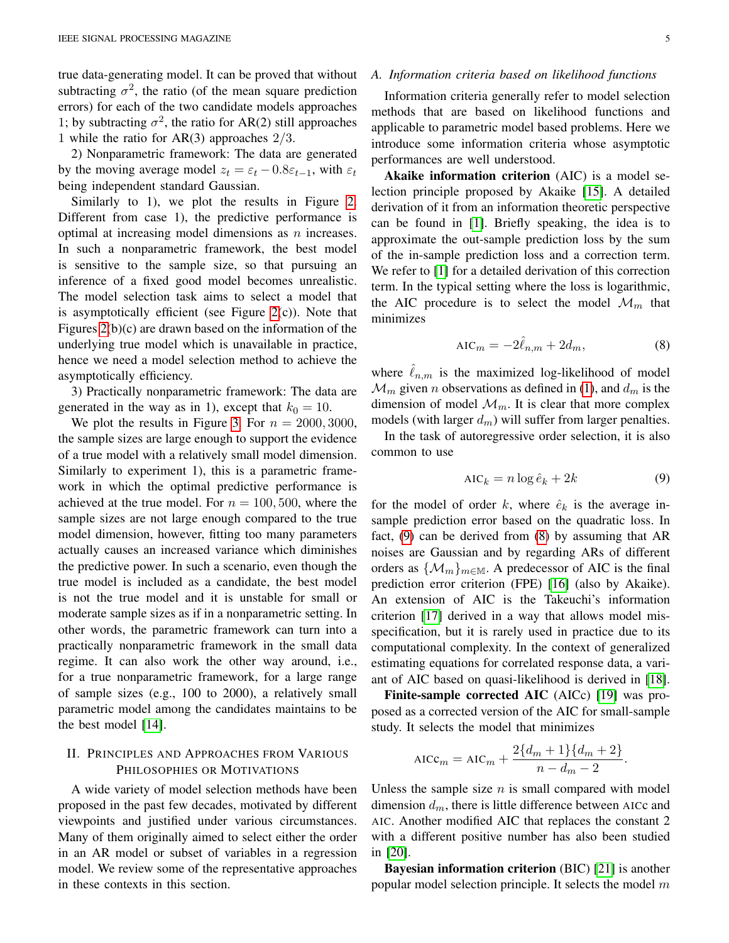true data-generating model. It can be proved that without subtracting  $\sigma^2$ , the ratio (of the mean square prediction errors) for each of the two candidate models approaches 1; by subtracting  $\sigma^2$ , the ratio for AR(2) still approaches 1 while the ratio for  $AR(3)$  approaches  $2/3$ .

2) Nonparametric framework: The data are generated by the moving average model  $z_t = \varepsilon_t - 0.8\varepsilon_{t-1}$ , with  $\varepsilon_t$ being independent standard Gaussian.

Similarly to 1), we plot the results in Figure [2.](#page-5-1) Different from case 1), the predictive performance is optimal at increasing model dimensions as n increases. In such a nonparametric framework, the best model is sensitive to the sample size, so that pursuing an inference of a fixed good model becomes unrealistic. The model selection task aims to select a model that is asymptotically efficient (see Figure  $2(c)$ ). Note that Figures [2\(](#page-5-1)b)(c) are drawn based on the information of the underlying true model which is unavailable in practice, hence we need a model selection method to achieve the asymptotically efficiency.

3) Practically nonparametric framework: The data are generated in the way as in 1), except that  $k_0 = 10$ .

We plot the results in Figure [3.](#page-5-2) For  $n = 2000, 3000$ , the sample sizes are large enough to support the evidence of a true model with a relatively small model dimension. Similarly to experiment 1), this is a parametric framework in which the optimal predictive performance is achieved at the true model. For  $n = 100, 500$ , where the sample sizes are not large enough compared to the true model dimension, however, fitting too many parameters actually causes an increased variance which diminishes the predictive power. In such a scenario, even though the true model is included as a candidate, the best model is not the true model and it is unstable for small or moderate sample sizes as if in a nonparametric setting. In other words, the parametric framework can turn into a practically nonparametric framework in the small data regime. It can also work the other way around, i.e., for a true nonparametric framework, for a large range of sample sizes (e.g., 100 to 2000), a relatively small parametric model among the candidates maintains to be the best model [\[14\]](#page-18-12).

# <span id="page-4-0"></span>II. PRINCIPLES AND APPROACHES FROM VARIOUS PHILOSOPHIES OR MOTIVATIONS

A wide variety of model selection methods have been proposed in the past few decades, motivated by different viewpoints and justified under various circumstances. Many of them originally aimed to select either the order in an AR model or subset of variables in a regression model. We review some of the representative approaches in these contexts in this section.

#### <span id="page-4-3"></span>*A. Information criteria based on likelihood functions*

Information criteria generally refer to model selection methods that are based on likelihood functions and applicable to parametric model based problems. Here we introduce some information criteria whose asymptotic performances are well understood.

Akaike information criterion (AIC) is a model selection principle proposed by Akaike [\[15\]](#page-18-13). A detailed derivation of it from an information theoretic perspective can be found in [\[1\]](#page-18-0). Briefly speaking, the idea is to approximate the out-sample prediction loss by the sum of the in-sample prediction loss and a correction term. We refer to [\[1\]](#page-18-0) for a detailed derivation of this correction term. In the typical setting where the loss is logarithmic, the AIC procedure is to select the model  $\mathcal{M}_m$  that minimizes

<span id="page-4-2"></span>
$$
AIC_m = -2\hat{\ell}_{n,m} + 2d_m,\tag{8}
$$

where  $\ell_{n,m}$  is the maximized log-likelihood of model  $\mathcal{M}_m$  given *n* observations as defined in [\(1\)](#page-1-3), and  $d_m$  is the dimension of model  $\mathcal{M}_m$ . It is clear that more complex models (with larger  $d_m$ ) will suffer from larger penalties.

In the task of autoregressive order selection, it is also common to use

<span id="page-4-1"></span>
$$
AIC_k = n \log \hat{e}_k + 2k \tag{9}
$$

for the model of order k, where  $\hat{e}_k$  is the average insample prediction error based on the quadratic loss. In fact, [\(9\)](#page-4-1) can be derived from [\(8\)](#page-4-2) by assuming that AR noises are Gaussian and by regarding ARs of different orders as  $\{\mathcal{M}_m\}_{m\in\mathbb{M}}$ . A predecessor of AIC is the final prediction error criterion (FPE) [\[16\]](#page-18-14) (also by Akaike). An extension of AIC is the Takeuchi's information criterion [\[17\]](#page-18-15) derived in a way that allows model misspecification, but it is rarely used in practice due to its computational complexity. In the context of generalized estimating equations for correlated response data, a variant of AIC based on quasi-likelihood is derived in [\[18\]](#page-18-16).

Finite-sample corrected AIC (AICc) [\[19\]](#page-18-17) was proposed as a corrected version of the AIC for small-sample study. It selects the model that minimizes

$$
AICc_m = AIC_m + \frac{2{d_m + 1}{d_m + 2}}{n - d_m - 2}.
$$

Unless the sample size  $n$  is small compared with model dimension  $d_m$ , there is little difference between AICc and AIC. Another modified AIC that replaces the constant 2 with a different positive number has also been studied in [\[20\]](#page-18-18).

Bayesian information criterion (BIC) [\[21\]](#page-18-19) is another popular model selection principle. It selects the model  $m$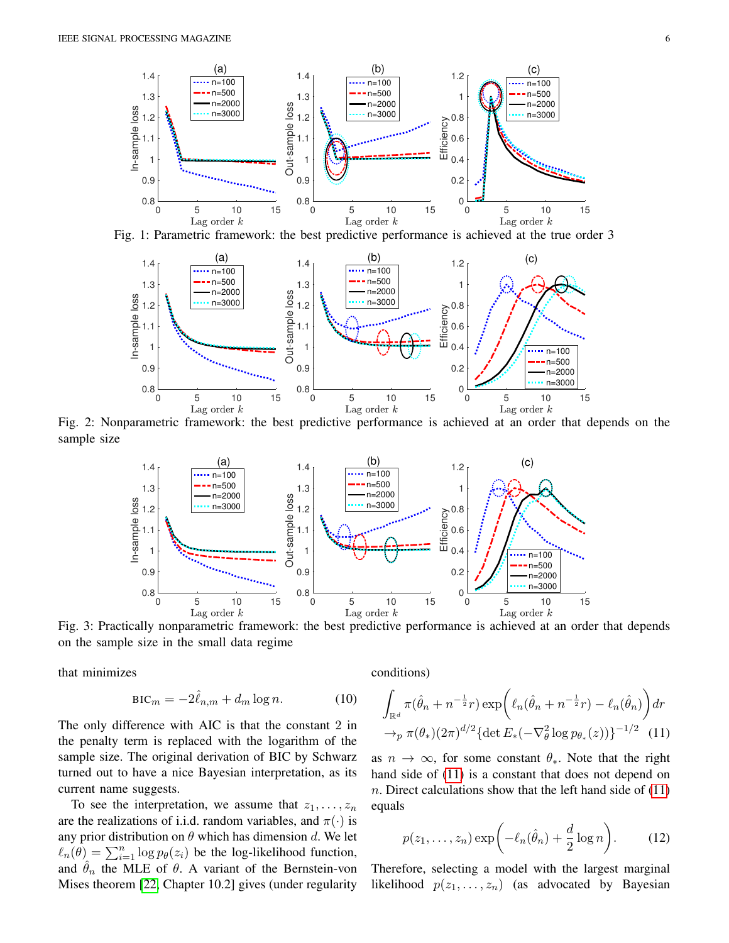<span id="page-5-0"></span>

<span id="page-5-1"></span>Fig. 1: Parametric framework: the best predictive performance is achieved at the true order 3



<span id="page-5-2"></span>Fig. 2: Nonparametric framework: the best predictive performance is achieved at an order that depends on the sample size



Fig. 3: Practically nonparametric framework: the best predictive performance is achieved at an order that depends on the sample size in the small data regime

that minimizes

$$
BIC_m = -2\hat{\ell}_{n,m} + d_m \log n.
$$
 (10)

The only difference with AIC is that the constant 2 in the penalty term is replaced with the logarithm of the sample size. The original derivation of BIC by Schwarz turned out to have a nice Bayesian interpretation, as its current name suggests.

To see the interpretation, we assume that  $z_1, \ldots, z_n$ are the realizations of i.i.d. random variables, and  $\pi(\cdot)$  is any prior distribution on  $\theta$  which has dimension d. We let  $\ell_n(\theta) = \sum_{i=1}^n \log p_\theta(z_i)$  be the log-likelihood function, and  $\hat{\theta}_n$  the MLE of  $\theta$ . A variant of the Bernstein-von Mises theorem [\[22,](#page-18-20) Chapter 10.2] gives (under regularity <span id="page-5-4"></span>conditions)

$$
\int_{\mathbb{R}^d} \pi(\hat{\theta}_n + n^{-\frac{1}{2}}r) \exp\left(\ell_n(\hat{\theta}_n + n^{-\frac{1}{2}}r) - \ell_n(\hat{\theta}_n)\right) dr
$$

$$
\rightarrow_p \pi(\theta_*)(2\pi)^{d/2} \{\det E_*(-\nabla^2_\theta \log p_{\theta_*}(z))\}^{-1/2} (11)
$$

as  $n \to \infty$ , for some constant  $\theta_*$ . Note that the right hand side of [\(11\)](#page-5-3) is a constant that does not depend on n. Direct calculations show that the left hand side of  $(11)$ equals

<span id="page-5-5"></span><span id="page-5-3"></span>
$$
p(z_1, \ldots, z_n) \exp\biggl(-\ell_n(\hat{\theta}_n) + \frac{d}{2}\log n\biggr). \tag{12}
$$

Therefore, selecting a model with the largest marginal likelihood  $p(z_1, \ldots, z_n)$  (as advocated by Bayesian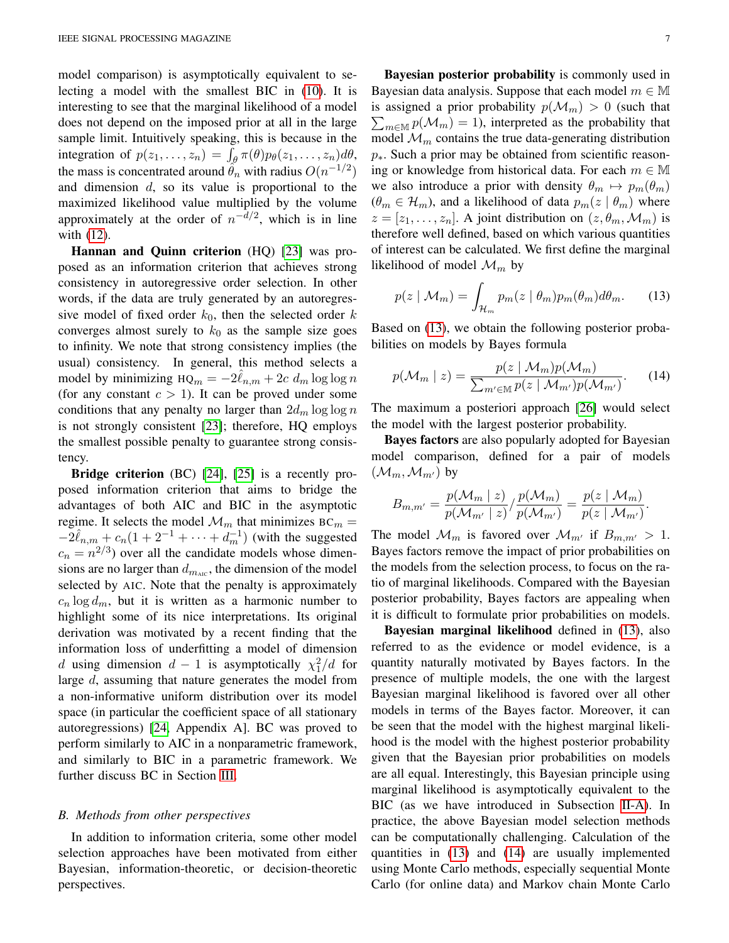model comparison) is asymptotically equivalent to selecting a model with the smallest BIC in [\(10\)](#page-5-4). It is interesting to see that the marginal likelihood of a model does not depend on the imposed prior at all in the large sample limit. Intuitively speaking, this is because in the integration of  $p(z_1,...,z_n) = \int_{\theta} \pi(\theta) p_{\theta}(z_1,...,z_n) d\theta$ , the mass is concentrated around  $\tilde{\theta}_n$  with radius  $O(n^{-1/2})$ and dimension  $d$ , so its value is proportional to the maximized likelihood value multiplied by the volume approximately at the order of  $n^{-d/2}$ , which is in line with [\(12\)](#page-5-5).

Hannan and Quinn criterion (HQ) [\[23\]](#page-18-21) was proposed as an information criterion that achieves strong consistency in autoregressive order selection. In other words, if the data are truly generated by an autoregressive model of fixed order  $k_0$ , then the selected order k converges almost surely to  $k_0$  as the sample size goes to infinity. We note that strong consistency implies (the usual) consistency. In general, this method selects a model by minimizing  $HQ_m = -2\hat{\ell}_{n,m} + 2c \ d_m \log \log n$ (for any constant  $c > 1$ ). It can be proved under some conditions that any penalty no larger than  $2d_m \log \log n$ is not strongly consistent [\[23\]](#page-18-21); therefore, HQ employs the smallest possible penalty to guarantee strong consistency.

Bridge criterion (BC) [\[24\]](#page-18-22), [\[25\]](#page-18-23) is a recently proposed information criterion that aims to bridge the advantages of both AIC and BIC in the asymptotic regime. It selects the model  $\mathcal{M}_m$  that minimizes BC<sub>m</sub> =  $-2\hat{\ell}_{n,m} + c_n(1+2^{-1}+\cdots+d_m^{-1})$  (with the suggested  $c_n = n^{2/3}$ ) over all the candidate models whose dimensions are no larger than  $d_{m_{\text{AIC}}}$ , the dimension of the model selected by AIC. Note that the penalty is approximately  $c_n \log d_m$ , but it is written as a harmonic number to highlight some of its nice interpretations. Its original derivation was motivated by a recent finding that the information loss of underfitting a model of dimension d using dimension  $d-1$  is asymptotically  $\chi_1^2/d$  for large d, assuming that nature generates the model from a non-informative uniform distribution over its model space (in particular the coefficient space of all stationary autoregressions) [\[24,](#page-18-22) Appendix A]. BC was proved to perform similarly to AIC in a nonparametric framework, and similarly to BIC in a parametric framework. We further discuss BC in Section [III.](#page-9-0)

#### *B. Methods from other perspectives*

In addition to information criteria, some other model selection approaches have been motivated from either Bayesian, information-theoretic, or decision-theoretic perspectives.

Bayesian posterior probability is commonly used in Bayesian data analysis. Suppose that each model  $m \in \mathbb{M}$ is assigned a prior probability  $p(\mathcal{M}_m) > 0$  (such that  $\sum_{m \in \mathbb{M}} p(\mathcal{M}_m) = 1$ , interpreted as the probability that model  $\mathcal{M}_m$  contains the true data-generating distribution  $p_{\ast}$ . Such a prior may be obtained from scientific reasoning or knowledge from historical data. For each  $m \in \mathbb{M}$ we also introduce a prior with density  $\theta_m \mapsto p_m(\theta_m)$  $(\theta_m \in \mathcal{H}_m)$ , and a likelihood of data  $p_m(z \mid \theta_m)$  where  $z = [z_1, \ldots, z_n]$ . A joint distribution on  $(z, \theta_m, \mathcal{M}_m)$  is therefore well defined, based on which various quantities of interest can be calculated. We first define the marginal likelihood of model  $\mathcal{M}_m$  by

<span id="page-6-0"></span>
$$
p(z \mid \mathcal{M}_m) = \int_{\mathcal{H}_m} p_m(z \mid \theta_m) p_m(\theta_m) d\theta_m.
$$
 (13)

Based on [\(13\)](#page-6-0), we obtain the following posterior probabilities on models by Bayes formula

<span id="page-6-1"></span>
$$
p(\mathcal{M}_m \mid z) = \frac{p(z \mid \mathcal{M}_m)p(\mathcal{M}_m)}{\sum_{m' \in \mathbb{M}} p(z \mid \mathcal{M}_{m'})p(\mathcal{M}_{m'})}.
$$
 (14)

The maximum a posteriori approach [\[26\]](#page-18-24) would select the model with the largest posterior probability.

Bayes factors are also popularly adopted for Bayesian model comparison, defined for a pair of models  $(\mathcal{M}_m, \mathcal{M}_{m'})$  by

$$
B_{m,m'}=\frac{p(\mathcal{M}_m \mid z)}{p(\mathcal{M}_{m'} \mid z)}/\frac{p(\mathcal{M}_m)}{p(\mathcal{M}_{m'})}=\frac{p(z \mid \mathcal{M}_m)}{p(z \mid \mathcal{M}_{m'})}.
$$

The model  $\mathcal{M}_m$  is favored over  $\mathcal{M}_{m'}$  if  $B_{m,m'} > 1$ . Bayes factors remove the impact of prior probabilities on the models from the selection process, to focus on the ratio of marginal likelihoods. Compared with the Bayesian posterior probability, Bayes factors are appealing when it is difficult to formulate prior probabilities on models.

Bayesian marginal likelihood defined in [\(13\)](#page-6-0), also referred to as the evidence or model evidence, is a quantity naturally motivated by Bayes factors. In the presence of multiple models, the one with the largest Bayesian marginal likelihood is favored over all other models in terms of the Bayes factor. Moreover, it can be seen that the model with the highest marginal likelihood is the model with the highest posterior probability given that the Bayesian prior probabilities on models are all equal. Interestingly, this Bayesian principle using marginal likelihood is asymptotically equivalent to the BIC (as we have introduced in Subsection [II-A\)](#page-4-3). In practice, the above Bayesian model selection methods can be computationally challenging. Calculation of the quantities in [\(13\)](#page-6-0) and [\(14\)](#page-6-1) are usually implemented using Monte Carlo methods, especially sequential Monte Carlo (for online data) and Markov chain Monte Carlo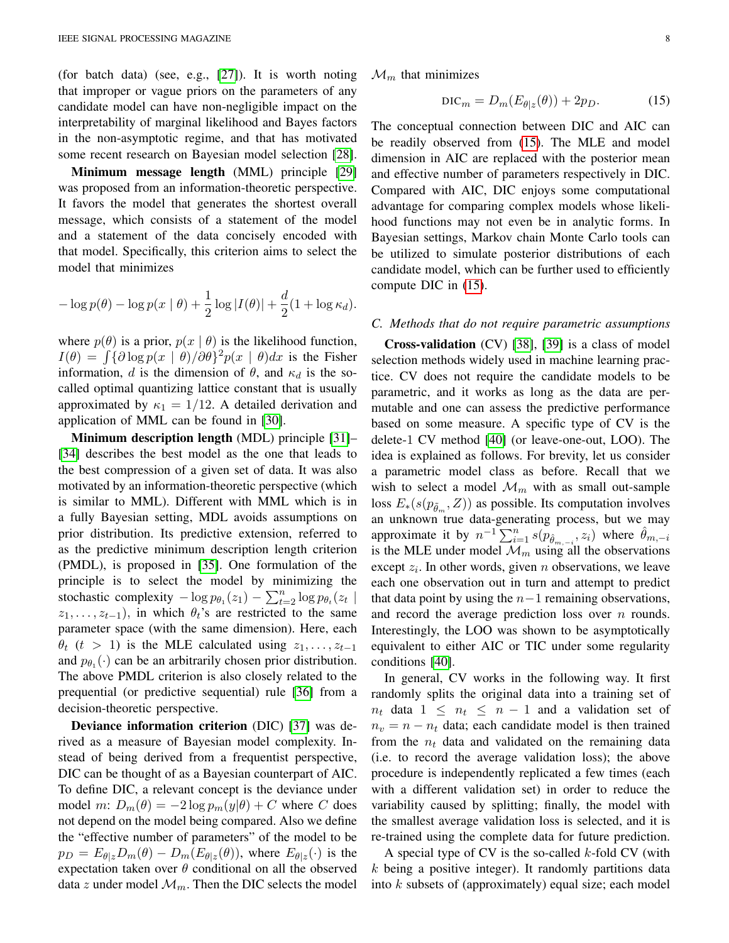(for batch data) (see, e.g., [\[27\]](#page-18-25)). It is worth noting that improper or vague priors on the parameters of any candidate model can have non-negligible impact on the interpretability of marginal likelihood and Bayes factors in the non-asymptotic regime, and that has motivated some recent research on Bayesian model selection [\[28\]](#page-18-26).

Minimum message length (MML) principle [\[29\]](#page-18-27) was proposed from an information-theoretic perspective. It favors the model that generates the shortest overall message, which consists of a statement of the model and a statement of the data concisely encoded with that model. Specifically, this criterion aims to select the model that minimizes

$$
-\log p(\theta) - \log p(x \mid \theta) + \frac{1}{2} \log |I(\theta)| + \frac{d}{2} (1 + \log \kappa_d).
$$

where  $p(\theta)$  is a prior,  $p(x | \theta)$  is the likelihood function,  $I(\theta) = \int {\partial \log p(x | \theta) / \partial \theta}^2 p(x | \theta) dx$  is the Fisher information, d is the dimension of  $\theta$ , and  $\kappa_d$  is the socalled optimal quantizing lattice constant that is usually approximated by  $\kappa_1 = 1/12$ . A detailed derivation and application of MML can be found in [\[30\]](#page-18-28).

Minimum description length (MDL) principle [\[31\]](#page-18-29)-[\[34\]](#page-18-30) describes the best model as the one that leads to the best compression of a given set of data. It was also motivated by an information-theoretic perspective (which is similar to MML). Different with MML which is in a fully Bayesian setting, MDL avoids assumptions on prior distribution. Its predictive extension, referred to as the predictive minimum description length criterion (PMDL), is proposed in [\[35\]](#page-18-31). One formulation of the principle is to select the model by minimizing the stochastic complexity  $-\log p_{\theta_1}(z_1) - \sum_{t=2}^n \log p_{\theta_t}(z_t)$  $z_1, \ldots, z_{t-1}$ , in which  $\theta_t$ 's are restricted to the same parameter space (with the same dimension). Here, each  $\theta_t$  (t > 1) is the MLE calculated using  $z_1, \ldots, z_{t-1}$ and  $p_{\theta_1}(\cdot)$  can be an arbitrarily chosen prior distribution. The above PMDL criterion is also closely related to the prequential (or predictive sequential) rule [\[36\]](#page-18-32) from a decision-theoretic perspective.

Deviance information criterion (DIC) [\[37\]](#page-18-33) was derived as a measure of Bayesian model complexity. Instead of being derived from a frequentist perspective, DIC can be thought of as a Bayesian counterpart of AIC. To define DIC, a relevant concept is the deviance under model m:  $D_m(\theta) = -2 \log p_m(y|\theta) + C$  where C does not depend on the model being compared. Also we define the "effective number of parameters" of the model to be  $p_D = E_{\theta|z}D_m(\theta) - D_m(E_{\theta|z}(\theta))$ , where  $E_{\theta|z}(\cdot)$  is the expectation taken over  $\theta$  conditional on all the observed data z under model  $\mathcal{M}_m$ . Then the DIC selects the model  $\mathcal{M}_m$  that minimizes

<span id="page-7-0"></span>
$$
\mathrm{DIC}_m = D_m(E_{\theta|z}(\theta)) + 2p_D. \tag{15}
$$

The conceptual connection between DIC and AIC can be readily observed from [\(15\)](#page-7-0). The MLE and model dimension in AIC are replaced with the posterior mean and effective number of parameters respectively in DIC. Compared with AIC, DIC enjoys some computational advantage for comparing complex models whose likelihood functions may not even be in analytic forms. In Bayesian settings, Markov chain Monte Carlo tools can be utilized to simulate posterior distributions of each candidate model, which can be further used to efficiently compute DIC in [\(15\)](#page-7-0).

#### *C. Methods that do not require parametric assumptions*

Cross-validation (CV) [\[38\]](#page-18-34), [\[39\]](#page-18-35) is a class of model selection methods widely used in machine learning practice. CV does not require the candidate models to be parametric, and it works as long as the data are permutable and one can assess the predictive performance based on some measure. A specific type of CV is the delete-1 CV method [\[40\]](#page-18-36) (or leave-one-out, LOO). The idea is explained as follows. For brevity, let us consider a parametric model class as before. Recall that we wish to select a model  $\mathcal{M}_m$  with as small out-sample loss  $E_*(s(p_{\tilde{\theta}_m}, Z))$  as possible. Its computation involves an unknown true data-generating process, but we may approximate it by  $n^{-1} \sum_{i=1}^{n} s(p_{\hat{\theta}_{m,-i}}, z_i)$  where  $\hat{\theta}_{m,-i}$ is the MLE under model  $\mathcal{M}_m$  using all the observations except  $z_i$ . In other words, given n observations, we leave each one observation out in turn and attempt to predict that data point by using the  $n-1$  remaining observations, and record the average prediction loss over  $n$  rounds. Interestingly, the LOO was shown to be asymptotically equivalent to either AIC or TIC under some regularity conditions [\[40\]](#page-18-36).

In general, CV works in the following way. It first randomly splits the original data into a training set of  $n_t$  data  $1 \leq n_t \leq n-1$  and a validation set of  $n_v = n - n_t$  data; each candidate model is then trained from the  $n_t$  data and validated on the remaining data (i.e. to record the average validation loss); the above procedure is independently replicated a few times (each with a different validation set) in order to reduce the variability caused by splitting; finally, the model with the smallest average validation loss is selected, and it is re-trained using the complete data for future prediction.

A special type of CV is the so-called  $k$ -fold CV (with  $k$  being a positive integer). It randomly partitions data into  $k$  subsets of (approximately) equal size; each model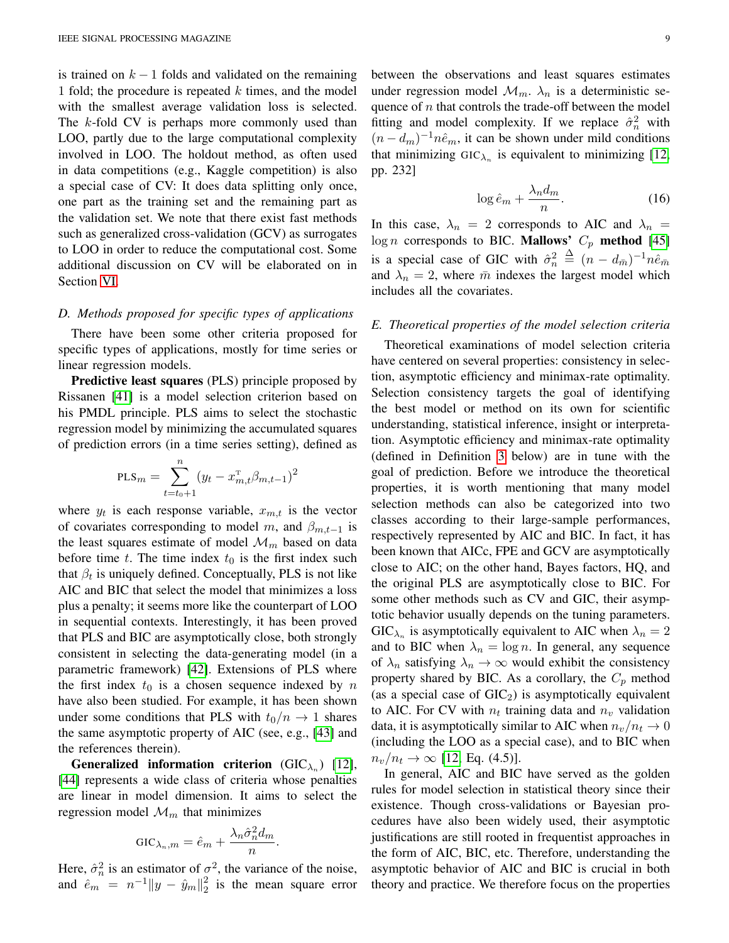is trained on  $k-1$  folds and validated on the remaining 1 fold; the procedure is repeated  $k$  times, and the model with the smallest average validation loss is selected. The k-fold CV is perhaps more commonly used than LOO, partly due to the large computational complexity involved in LOO. The holdout method, as often used in data competitions (e.g., Kaggle competition) is also a special case of CV: It does data splitting only once, one part as the training set and the remaining part as the validation set. We note that there exist fast methods such as generalized cross-validation (GCV) as surrogates to LOO in order to reduce the computational cost. Some additional discussion on CV will be elaborated on in Section [VI.](#page-16-0)

## *D. Methods proposed for specific types of applications*

There have been some other criteria proposed for specific types of applications, mostly for time series or linear regression models.

Predictive least squares (PLS) principle proposed by Rissanen [\[41\]](#page-18-37) is a model selection criterion based on his PMDL principle. PLS aims to select the stochastic regression model by minimizing the accumulated squares of prediction errors (in a time series setting), defined as

$$
\text{PLS}_m = \sum_{t=t_0+1}^n (y_t - x_{m,t}^{\text{T}} \beta_{m,t-1})^2
$$

where  $y_t$  is each response variable,  $x_{m,t}$  is the vector of covariates corresponding to model m, and  $\beta_{m,t-1}$  is the least squares estimate of model  $\mathcal{M}_m$  based on data before time t. The time index  $t_0$  is the first index such that  $\beta_t$  is uniquely defined. Conceptually, PLS is not like AIC and BIC that select the model that minimizes a loss plus a penalty; it seems more like the counterpart of LOO in sequential contexts. Interestingly, it has been proved that PLS and BIC are asymptotically close, both strongly consistent in selecting the data-generating model (in a parametric framework) [\[42\]](#page-19-0). Extensions of PLS where the first index  $t_0$  is a chosen sequence indexed by n have also been studied. For example, it has been shown under some conditions that PLS with  $t_0/n \rightarrow 1$  shares the same asymptotic property of AIC (see, e.g., [\[43\]](#page-19-1) and the references therein).

Generalized information criterion ( $GIC_{\lambda_n}$ ) [\[12\]](#page-18-38), [\[44\]](#page-19-2) represents a wide class of criteria whose penalties are linear in model dimension. It aims to select the regression model  $\mathcal{M}_m$  that minimizes

$$
GIC_{\lambda_n,m} = \hat{e}_m + \frac{\lambda_n \hat{\sigma}_n^2 d_m}{n}.
$$

Here,  $\hat{\sigma}_n^2$  is an estimator of  $\sigma^2$ , the variance of the noise, and  $\hat{e}_m = n^{-1} \|y - \hat{y}_m\|_2^2$  $\frac{2}{2}$  is the mean square error between the observations and least squares estimates under regression model  $\mathcal{M}_m$ .  $\lambda_n$  is a deterministic sequence of  $n$  that controls the trade-off between the model fitting and model complexity. If we replace  $\hat{\sigma}_n^2$  with  $(n - d_m)^{-1}n\hat{e}_m$ , it can be shown under mild conditions that minimizing  $GIC_{\lambda_n}$  is equivalent to minimizing [\[12,](#page-18-38) pp. 232]

$$
\log \hat{e}_m + \frac{\lambda_n d_m}{n}.\tag{16}
$$

In this case,  $\lambda_n = 2$  corresponds to AIC and  $\lambda_n =$  $log n$  corresponds to BIC. **Mallows'**  $C_p$  **method** [\[45\]](#page-19-3) is a special case of GIC with  $\hat{\sigma}_n^2 \triangleq (n - d_{\bar{m}})^{-1} n \hat{e}_{\bar{m}}$ and  $\lambda_n = 2$ , where  $\bar{m}$  indexes the largest model which includes all the covariates.

# <span id="page-8-0"></span>*E. Theoretical properties of the model selection criteria*

Theoretical examinations of model selection criteria have centered on several properties: consistency in selection, asymptotic efficiency and minimax-rate optimality. Selection consistency targets the goal of identifying the best model or method on its own for scientific understanding, statistical inference, insight or interpretation. Asymptotic efficiency and minimax-rate optimality (defined in Definition [3](#page-9-1) below) are in tune with the goal of prediction. Before we introduce the theoretical properties, it is worth mentioning that many model selection methods can also be categorized into two classes according to their large-sample performances, respectively represented by AIC and BIC. In fact, it has been known that AICc, FPE and GCV are asymptotically close to AIC; on the other hand, Bayes factors, HQ, and the original PLS are asymptotically close to BIC. For some other methods such as CV and GIC, their asymptotic behavior usually depends on the tuning parameters.  $GIC_{\lambda_n}$  is asymptotically equivalent to AIC when  $\lambda_n = 2$ and to BIC when  $\lambda_n = \log n$ . In general, any sequence of  $\lambda_n$  satisfying  $\lambda_n \to \infty$  would exhibit the consistency property shared by BIC. As a corollary, the  $C_p$  method (as a special case of  $GIC<sub>2</sub>$ ) is asymptotically equivalent to AIC. For CV with  $n_t$  training data and  $n_v$  validation data, it is asymptotically similar to AIC when  $n_v/n_t \to 0$ (including the LOO as a special case), and to BIC when  $n_v/n_t \to \infty$  [\[12,](#page-18-38) Eq. (4.5)].

In general, AIC and BIC have served as the golden rules for model selection in statistical theory since their existence. Though cross-validations or Bayesian procedures have also been widely used, their asymptotic justifications are still rooted in frequentist approaches in the form of AIC, BIC, etc. Therefore, understanding the asymptotic behavior of AIC and BIC is crucial in both theory and practice. We therefore focus on the properties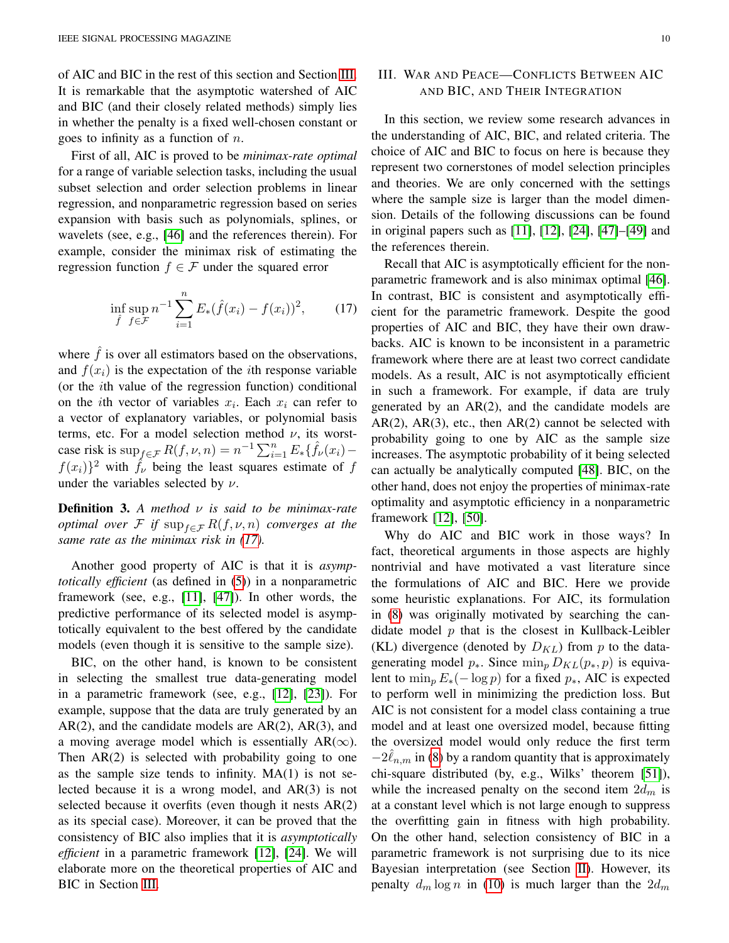of AIC and BIC in the rest of this section and Section [III.](#page-9-0) It is remarkable that the asymptotic watershed of AIC and BIC (and their closely related methods) simply lies in whether the penalty is a fixed well-chosen constant or goes to infinity as a function of  $n$ .

First of all, AIC is proved to be *minimax-rate optimal* for a range of variable selection tasks, including the usual subset selection and order selection problems in linear regression, and nonparametric regression based on series expansion with basis such as polynomials, splines, or wavelets (see, e.g., [\[46\]](#page-19-4) and the references therein). For example, consider the minimax risk of estimating the regression function  $f \in \mathcal{F}$  under the squared error

$$
\inf_{\hat{f}} \sup_{f \in \mathcal{F}} n^{-1} \sum_{i=1}^{n} E_*(\hat{f}(x_i) - f(x_i))^2, \qquad (17)
$$

where  $\hat{f}$  is over all estimators based on the observations, and  $f(x_i)$  is the expectation of the *i*th response variable (or the ith value of the regression function) conditional on the *i*th vector of variables  $x_i$ . Each  $x_i$  can refer to a vector of explanatory variables, or polynomial basis terms, etc. For a model selection method  $\nu$ , its worstcase risk is  $\sup_{f \in \mathcal{F}} R(f, \nu, n) = n^{-1} \sum_{i=1}^n E_* \{ \hat{f}_\nu(x_i)$  $f(x_i)$ <sup>2</sup> with  $\hat{f}_\nu$  being the least squares estimate of f under the variables selected by  $\nu$ .

<span id="page-9-1"></span>Definition 3. *A method* ν *is said to be minimax-rate optimal over* F *if*  $\sup_{f \in \mathcal{F}} R(f, \nu, n)$  *converges at the same rate as the minimax risk in [\(17\)](#page-9-2).*

Another good property of AIC is that it is *asymptotically efficient* (as defined in [\(5\)](#page-2-1)) in a nonparametric framework (see, e.g., [\[11\]](#page-18-9), [\[47\]](#page-19-5)). In other words, the predictive performance of its selected model is asymptotically equivalent to the best offered by the candidate models (even though it is sensitive to the sample size).

BIC, on the other hand, is known to be consistent in selecting the smallest true data-generating model in a parametric framework (see, e.g., [\[12\]](#page-18-38), [\[23\]](#page-18-21)). For example, suppose that the data are truly generated by an  $AR(2)$ , and the candidate models are  $AR(2)$ ,  $AR(3)$ , and a moving average model which is essentially AR( $\infty$ ). Then AR(2) is selected with probability going to one as the sample size tends to infinity.  $MA(1)$  is not selected because it is a wrong model, and AR(3) is not selected because it overfits (even though it nests AR(2) as its special case). Moreover, it can be proved that the consistency of BIC also implies that it is *asymptotically efficient* in a parametric framework [\[12\]](#page-18-38), [\[24\]](#page-18-22). We will elaborate more on the theoretical properties of AIC and BIC in Section [III.](#page-9-0)

# <span id="page-9-0"></span>III. WAR AND PEACE—CONFLICTS BETWEEN AIC AND BIC, AND THEIR INTEGRATION

In this section, we review some research advances in the understanding of AIC, BIC, and related criteria. The choice of AIC and BIC to focus on here is because they represent two cornerstones of model selection principles and theories. We are only concerned with the settings where the sample size is larger than the model dimension. Details of the following discussions can be found in original papers such as [\[11\]](#page-18-9), [\[12\]](#page-18-38), [\[24\]](#page-18-22), [\[47\]](#page-19-5)–[\[49\]](#page-19-6) and the references therein.

<span id="page-9-2"></span>Recall that AIC is asymptotically efficient for the nonparametric framework and is also minimax optimal [\[46\]](#page-19-4). In contrast, BIC is consistent and asymptotically efficient for the parametric framework. Despite the good properties of AIC and BIC, they have their own drawbacks. AIC is known to be inconsistent in a parametric framework where there are at least two correct candidate models. As a result, AIC is not asymptotically efficient in such a framework. For example, if data are truly generated by an AR(2), and the candidate models are  $AR(2)$ ,  $AR(3)$ , etc., then  $AR(2)$  cannot be selected with probability going to one by AIC as the sample size increases. The asymptotic probability of it being selected can actually be analytically computed [\[48\]](#page-19-7). BIC, on the other hand, does not enjoy the properties of minimax-rate optimality and asymptotic efficiency in a nonparametric framework [\[12\]](#page-18-38), [\[50\]](#page-19-8).

Why do AIC and BIC work in those ways? In fact, theoretical arguments in those aspects are highly nontrivial and have motivated a vast literature since the formulations of AIC and BIC. Here we provide some heuristic explanations. For AIC, its formulation in [\(8\)](#page-4-2) was originally motivated by searching the candidate model  $p$  that is the closest in Kullback-Leibler (KL) divergence (denoted by  $D_{KL}$ ) from p to the datagenerating model  $p_{\ast}$ . Since  $\min_{p} D_{KL}(p_{\ast}, p)$  is equivalent to  $\min_p E_*(-\log p)$  for a fixed  $p_*,$  AIC is expected to perform well in minimizing the prediction loss. But AIC is not consistent for a model class containing a true model and at least one oversized model, because fitting the oversized model would only reduce the first term  $-2\hat{\ell}_{n,m}$  in [\(8\)](#page-4-2) by a random quantity that is approximately chi-square distributed (by, e.g., Wilks' theorem [\[51\]](#page-19-9)), while the increased penalty on the second item  $2d_m$  is at a constant level which is not large enough to suppress the overfitting gain in fitness with high probability. On the other hand, selection consistency of BIC in a parametric framework is not surprising due to its nice Bayesian interpretation (see Section [II\)](#page-4-0). However, its penalty  $d_m \log n$  in [\(10\)](#page-5-4) is much larger than the  $2d_m$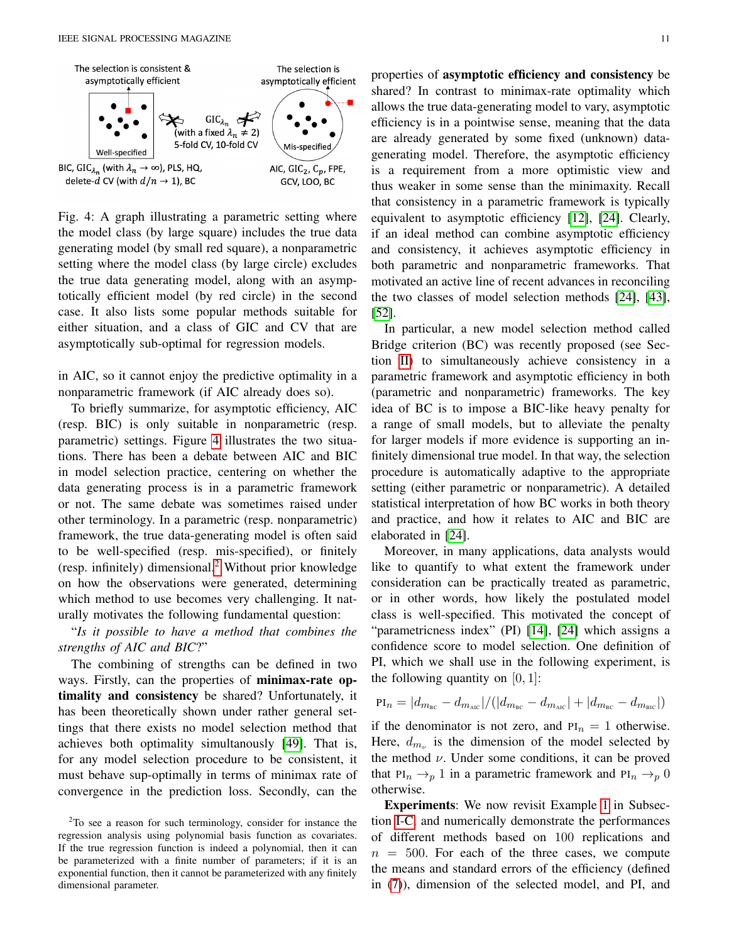<span id="page-10-0"></span>

Fig. 4: A graph illustrating a parametric setting where the model class (by large square) includes the true data generating model (by small red square), a nonparametric setting where the model class (by large circle) excludes the true data generating model, along with an asymptotically efficient model (by red circle) in the second case. It also lists some popular methods suitable for either situation, and a class of GIC and CV that are asymptotically sub-optimal for regression models.

in AIC, so it cannot enjoy the predictive optimality in a nonparametric framework (if AIC already does so).

To briefly summarize, for asymptotic efficiency, AIC (resp. BIC) is only suitable in nonparametric (resp. parametric) settings. Figure [4](#page-10-0) illustrates the two situations. There has been a debate between AIC and BIC in model selection practice, centering on whether the data generating process is in a parametric framework or not. The same debate was sometimes raised under other terminology. In a parametric (resp. nonparametric) framework, the true data-generating model is often said to be well-specified (resp. mis-specified), or finitely (resp. infinitely) dimensional.[2](#page-10-1) Without prior knowledge on how the observations were generated, determining which method to use becomes very challenging. It naturally motivates the following fundamental question:

"*Is it possible to have a method that combines the strengths of AIC and BIC*?"

The combining of strengths can be defined in two ways. Firstly, can the properties of minimax-rate optimality and consistency be shared? Unfortunately, it has been theoretically shown under rather general settings that there exists no model selection method that achieves both optimality simultanously [\[49\]](#page-19-6). That is, for any model selection procedure to be consistent, it must behave sup-optimally in terms of minimax rate of convergence in the prediction loss. Secondly, can the

<span id="page-10-1"></span><sup>2</sup>To see a reason for such terminology, consider for instance the regression analysis using polynomial basis function as covariates. If the true regression function is indeed a polynomial, then it can be parameterized with a finite number of parameters; if it is an exponential function, then it cannot be parameterized with any finitely dimensional parameter.

properties of asymptotic efficiency and consistency be shared? In contrast to minimax-rate optimality which allows the true data-generating model to vary, asymptotic efficiency is in a pointwise sense, meaning that the data are already generated by some fixed (unknown) datagenerating model. Therefore, the asymptotic efficiency is a requirement from a more optimistic view and thus weaker in some sense than the minimaxity. Recall that consistency in a parametric framework is typically equivalent to asymptotic efficiency [\[12\]](#page-18-38), [\[24\]](#page-18-22). Clearly, if an ideal method can combine asymptotic efficiency and consistency, it achieves asymptotic efficiency in both parametric and nonparametric frameworks. That motivated an active line of recent advances in reconciling the two classes of model selection methods [\[24\]](#page-18-22), [\[43\]](#page-19-1), [\[52\]](#page-19-10).

In particular, a new model selection method called Bridge criterion (BC) was recently proposed (see Section [II\)](#page-4-0) to simultaneously achieve consistency in a parametric framework and asymptotic efficiency in both (parametric and nonparametric) frameworks. The key idea of BC is to impose a BIC-like heavy penalty for a range of small models, but to alleviate the penalty for larger models if more evidence is supporting an infinitely dimensional true model. In that way, the selection procedure is automatically adaptive to the appropriate setting (either parametric or nonparametric). A detailed statistical interpretation of how BC works in both theory and practice, and how it relates to AIC and BIC are elaborated in [\[24\]](#page-18-22).

Moreover, in many applications, data analysts would like to quantify to what extent the framework under consideration can be practically treated as parametric, or in other words, how likely the postulated model class is well-specified. This motivated the concept of "parametricness index" (PI) [\[14\]](#page-18-12), [\[24\]](#page-18-22) which assigns a confidence score to model selection. One definition of PI, which we shall use in the following experiment, is the following quantity on  $[0, 1]$ :

$$
PI_n = |d_{m_{BC}} - d_{m_{AIC}}| / (|d_{m_{BC}} - d_{m_{AIC}}| + |d_{m_{BC}} - d_{m_{BIC}}|)
$$

if the denominator is not zero, and  $PI_n = 1$  otherwise. Here,  $d_{m_{\nu}}$  is the dimension of the model selected by the method  $\nu$ . Under some conditions, it can be proved that PI<sub>n</sub>  $\rightarrow$ <sub>p</sub> 1 in a parametric framework and PI<sub>n</sub>  $\rightarrow$ <sub>p</sub> 0 otherwise.

Experiments: We now revisit Example [1](#page-3-1) in Subsection [I-C,](#page-3-0) and numerically demonstrate the performances of different methods based on 100 replications and  $n = 500$ . For each of the three cases, we compute the means and standard errors of the efficiency (defined in [\(7\)](#page-3-4)), dimension of the selected model, and PI, and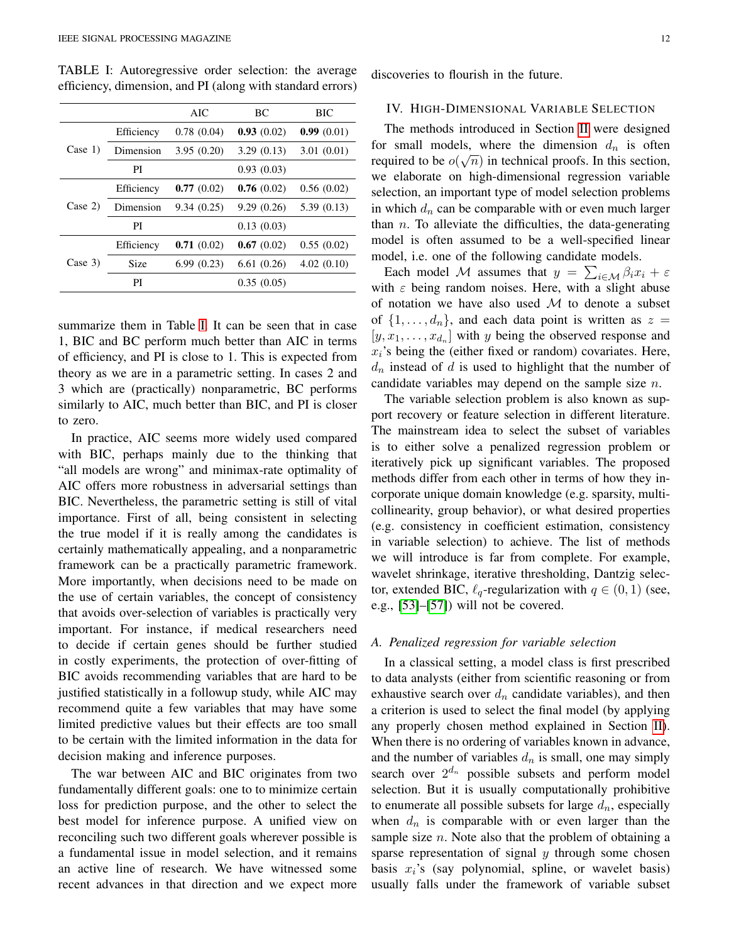<span id="page-11-1"></span>TABLE I: Autoregressive order selection: the average efficiency, dimension, and PI (along with standard errors)

|            |             | <b>AIC</b> | BC         | <b>BIC</b> |
|------------|-------------|------------|------------|------------|
| Case $1$ ) | Efficiency  | 0.78(0.04) | 0.93(0.02) | 0.99(0.01) |
|            | Dimension   | 3.95(0.20) | 3.29(0.13) | 3.01(0.01) |
|            | PI          |            | 0.93(0.03) |            |
| Case $2)$  | Efficiency  | 0.77(0.02) | 0.76(0.02) | 0.56(0.02) |
|            | Dimension   | 9.34(0.25) | 9.29(0.26) | 5.39(0.13) |
|            | PI          |            | 0.13(0.03) |            |
| Case 3)    | Efficiency  | 0.71(0.02) | 0.67(0.02) | 0.55(0.02) |
|            | <b>Size</b> | 6.99(0.23) | 6.61(0.26) | 4.02(0.10) |
|            | PI          |            | 0.35(0.05) |            |

summarize them in Table [I.](#page-11-1) It can be seen that in case 1, BIC and BC perform much better than AIC in terms of efficiency, and PI is close to 1. This is expected from theory as we are in a parametric setting. In cases 2 and 3 which are (practically) nonparametric, BC performs similarly to AIC, much better than BIC, and PI is closer to zero.

In practice, AIC seems more widely used compared with BIC, perhaps mainly due to the thinking that "all models are wrong" and minimax-rate optimality of AIC offers more robustness in adversarial settings than BIC. Nevertheless, the parametric setting is still of vital importance. First of all, being consistent in selecting the true model if it is really among the candidates is certainly mathematically appealing, and a nonparametric framework can be a practically parametric framework. More importantly, when decisions need to be made on the use of certain variables, the concept of consistency that avoids over-selection of variables is practically very important. For instance, if medical researchers need to decide if certain genes should be further studied in costly experiments, the protection of over-fitting of BIC avoids recommending variables that are hard to be justified statistically in a followup study, while AIC may recommend quite a few variables that may have some limited predictive values but their effects are too small to be certain with the limited information in the data for decision making and inference purposes.

The war between AIC and BIC originates from two fundamentally different goals: one to to minimize certain loss for prediction purpose, and the other to select the best model for inference purpose. A unified view on reconciling such two different goals wherever possible is a fundamental issue in model selection, and it remains an active line of research. We have witnessed some recent advances in that direction and we expect more discoveries to flourish in the future.

#### <span id="page-11-0"></span>IV. HIGH-DIMENSIONAL VARIABLE SELECTION

The methods introduced in Section [II](#page-4-0) were designed for small models, where the dimension  $d_n$  is often required to be  $o(\sqrt{n})$  in technical proofs. In this section, we elaborate on high-dimensional regression variable selection, an important type of model selection problems in which  $d_n$  can be comparable with or even much larger than  $n$ . To alleviate the difficulties, the data-generating model is often assumed to be a well-specified linear model, i.e. one of the following candidate models.

Each model M assumes that  $y = \sum_{i \in \mathcal{M}} \beta_i x_i + \varepsilon$ with  $\varepsilon$  being random noises. Here, with a slight abuse of notation we have also used  $M$  to denote a subset of  $\{1, \ldots, d_n\}$ , and each data point is written as  $z =$  $[y, x_1, \ldots, x_{d_n}]$  with y being the observed response and  $x_i$ 's being the (either fixed or random) covariates. Here,  $d_n$  instead of d is used to highlight that the number of candidate variables may depend on the sample size n.

The variable selection problem is also known as support recovery or feature selection in different literature. The mainstream idea to select the subset of variables is to either solve a penalized regression problem or iteratively pick up significant variables. The proposed methods differ from each other in terms of how they incorporate unique domain knowledge (e.g. sparsity, multicollinearity, group behavior), or what desired properties (e.g. consistency in coefficient estimation, consistency in variable selection) to achieve. The list of methods we will introduce is far from complete. For example, wavelet shrinkage, iterative thresholding, Dantzig selector, extended BIC,  $\ell_q$ -regularization with  $q \in (0, 1)$  (see, e.g., [\[53\]](#page-19-11)–[\[57\]](#page-19-12)) will not be covered.

#### *A. Penalized regression for variable selection*

In a classical setting, a model class is first prescribed to data analysts (either from scientific reasoning or from exhaustive search over  $d_n$  candidate variables), and then a criterion is used to select the final model (by applying any properly chosen method explained in Section [II\)](#page-4-0). When there is no ordering of variables known in advance, and the number of variables  $d_n$  is small, one may simply search over  $2^{d_n}$  possible subsets and perform model selection. But it is usually computationally prohibitive to enumerate all possible subsets for large  $d_n$ , especially when  $d_n$  is comparable with or even larger than the sample size  $n$ . Note also that the problem of obtaining a sparse representation of signal  $y$  through some chosen basis  $x_i$ 's (say polynomial, spline, or wavelet basis) usually falls under the framework of variable subset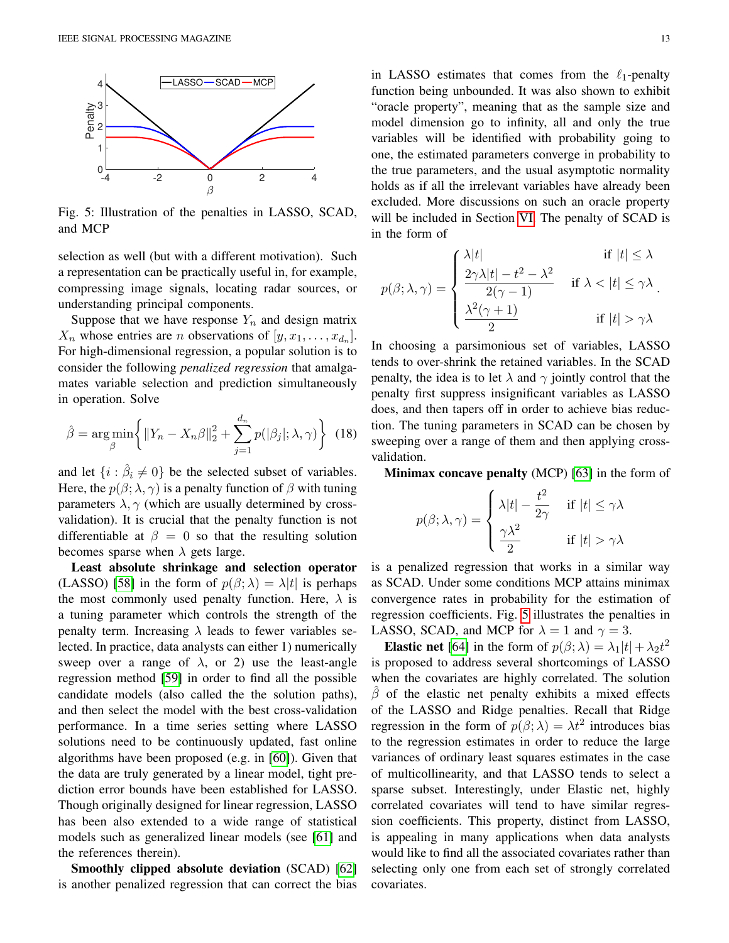<span id="page-12-0"></span>

Fig. 5: Illustration of the penalties in LASSO, SCAD, and MCP

selection as well (but with a different motivation). Such a representation can be practically useful in, for example, compressing image signals, locating radar sources, or understanding principal components.

Suppose that we have response  $Y_n$  and design matrix  $X_n$  whose entries are *n* observations of  $[y, x_1, \ldots, x_{d_n}]$ . For high-dimensional regression, a popular solution is to consider the following *penalized regression* that amalgamates variable selection and prediction simultaneously in operation. Solve

$$
\hat{\beta} = \underset{\beta}{\arg\min} \left\{ \|Y_n - X_n\beta\|_2^2 + \sum_{j=1}^{d_n} p(|\beta_j|; \lambda, \gamma) \right\} \tag{18}
$$

and let  $\{i : \hat{\beta}_i \neq 0\}$  be the selected subset of variables. Here, the  $p(\beta; \lambda, \gamma)$  is a penalty function of  $\beta$  with tuning parameters  $\lambda$ ,  $\gamma$  (which are usually determined by crossvalidation). It is crucial that the penalty function is not differentiable at  $\beta = 0$  so that the resulting solution becomes sparse when  $\lambda$  gets large.

Least absolute shrinkage and selection operator (LASSO) [\[58\]](#page-19-13) in the form of  $p(\beta; \lambda) = \lambda |t|$  is perhaps the most commonly used penalty function. Here,  $\lambda$  is a tuning parameter which controls the strength of the penalty term. Increasing  $\lambda$  leads to fewer variables selected. In practice, data analysts can either 1) numerically sweep over a range of  $\lambda$ , or 2) use the least-angle regression method [\[59\]](#page-19-14) in order to find all the possible candidate models (also called the the solution paths), and then select the model with the best cross-validation performance. In a time series setting where LASSO solutions need to be continuously updated, fast online algorithms have been proposed (e.g. in [\[60\]](#page-19-15)). Given that the data are truly generated by a linear model, tight prediction error bounds have been established for LASSO. Though originally designed for linear regression, LASSO has been also extended to a wide range of statistical models such as generalized linear models (see [\[61\]](#page-19-16) and the references therein).

Smoothly clipped absolute deviation (SCAD) [\[62\]](#page-19-17) is another penalized regression that can correct the bias in LASSO estimates that comes from the  $\ell_1$ -penalty function being unbounded. It was also shown to exhibit "oracle property", meaning that as the sample size and model dimension go to infinity, all and only the true variables will be identified with probability going to one, the estimated parameters converge in probability to the true parameters, and the usual asymptotic normality holds as if all the irrelevant variables have already been excluded. More discussions on such an oracle property will be included in Section [VI.](#page-16-0) The penalty of SCAD is in the form of

$$
p(\beta; \lambda, \gamma) = \begin{cases} \frac{\lambda |t|}{2\gamma \lambda |t| - t^2 - \lambda^2} & \text{if } |t| \le \lambda \\ \frac{2\gamma \lambda |t| - t^2 - \lambda^2}{2(\gamma - 1)} & \text{if } \lambda < |t| \le \gamma \lambda \\ \frac{\lambda^2 (\gamma + 1)}{2} & \text{if } |t| > \gamma \lambda \end{cases}
$$

In choosing a parsimonious set of variables, LASSO tends to over-shrink the retained variables. In the SCAD penalty, the idea is to let  $\lambda$  and  $\gamma$  jointly control that the penalty first suppress insignificant variables as LASSO does, and then tapers off in order to achieve bias reduction. The tuning parameters in SCAD can be chosen by sweeping over a range of them and then applying crossvalidation.

<span id="page-12-1"></span>Minimax concave penalty (MCP) [\[63\]](#page-19-18) in the form of

$$
p(\beta; \lambda, \gamma) = \begin{cases} \lambda |t| - \frac{t^2}{2\gamma} & \text{if } |t| \le \gamma \lambda \\ \frac{\gamma \lambda^2}{2} & \text{if } |t| > \gamma \lambda \end{cases}
$$

is a penalized regression that works in a similar way as SCAD. Under some conditions MCP attains minimax convergence rates in probability for the estimation of regression coefficients. Fig. [5](#page-12-0) illustrates the penalties in LASSO, SCAD, and MCP for  $\lambda = 1$  and  $\gamma = 3$ .

**Elastic net** [\[64\]](#page-19-19) in the form of  $p(\beta; \lambda) = \lambda_1 |t| + \lambda_2 t^2$ is proposed to address several shortcomings of LASSO when the covariates are highly correlated. The solution  $\beta$  of the elastic net penalty exhibits a mixed effects of the LASSO and Ridge penalties. Recall that Ridge regression in the form of  $p(\beta; \lambda) = \lambda t^2$  introduces bias to the regression estimates in order to reduce the large variances of ordinary least squares estimates in the case of multicollinearity, and that LASSO tends to select a sparse subset. Interestingly, under Elastic net, highly correlated covariates will tend to have similar regression coefficients. This property, distinct from LASSO, is appealing in many applications when data analysts would like to find all the associated covariates rather than selecting only one from each set of strongly correlated covariates.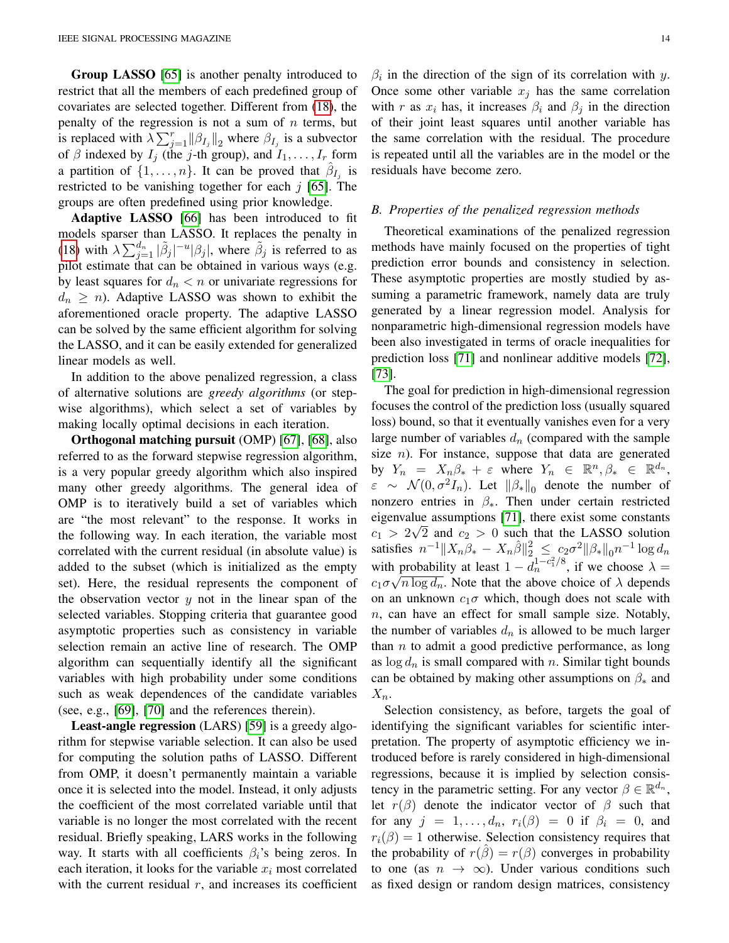Group LASSO [\[65\]](#page-19-20) is another penalty introduced to restrict that all the members of each predefined group of covariates are selected together. Different from [\(18\)](#page-12-1), the penalty of the regression is not a sum of  $n$  terms, but is replaced with  $\lambda \sum_{j=1}^{r} ||\beta_{I_j}||_2$  where  $\beta_{I_j}$  is a subvector of  $\beta$  indexed by  $I_j$  (the j-th group), and  $I_1, \ldots, I_r$  form a partition of  $\{1, \ldots, n\}$ . It can be proved that  $\hat{\beta}_{I_j}$  is restricted to be vanishing together for each  $j$  [\[65\]](#page-19-20). The groups are often predefined using prior knowledge.

Adaptive LASSO [\[66\]](#page-19-21) has been introduced to fit models sparser than LASSO. It replaces the penalty in [\(18\)](#page-12-1) with  $\lambda \sum_{j=1}^{d_n} |\tilde{\beta}_j|^{-u} |\beta_j|$ , where  $\tilde{\beta}_j$  is referred to as pilot estimate that can be obtained in various ways (e.g. by least squares for  $d_n < n$  or univariate regressions for  $d_n \geq n$ ). Adaptive LASSO was shown to exhibit the aforementioned oracle property. The adaptive LASSO can be solved by the same efficient algorithm for solving the LASSO, and it can be easily extended for generalized linear models as well.

In addition to the above penalized regression, a class of alternative solutions are *greedy algorithms* (or stepwise algorithms), which select a set of variables by making locally optimal decisions in each iteration.

Orthogonal matching pursuit (OMP) [\[67\]](#page-19-22), [\[68\]](#page-19-23), also referred to as the forward stepwise regression algorithm, is a very popular greedy algorithm which also inspired many other greedy algorithms. The general idea of OMP is to iteratively build a set of variables which are "the most relevant" to the response. It works in the following way. In each iteration, the variable most correlated with the current residual (in absolute value) is added to the subset (which is initialized as the empty set). Here, the residual represents the component of the observation vector  $y$  not in the linear span of the selected variables. Stopping criteria that guarantee good asymptotic properties such as consistency in variable selection remain an active line of research. The OMP algorithm can sequentially identify all the significant variables with high probability under some conditions such as weak dependences of the candidate variables (see, e.g., [\[69\]](#page-19-24), [\[70\]](#page-19-25) and the references therein).

Least-angle regression (LARS) [\[59\]](#page-19-14) is a greedy algorithm for stepwise variable selection. It can also be used for computing the solution paths of LASSO. Different from OMP, it doesn't permanently maintain a variable once it is selected into the model. Instead, it only adjusts the coefficient of the most correlated variable until that variable is no longer the most correlated with the recent residual. Briefly speaking, LARS works in the following way. It starts with all coefficients  $\beta_i$ 's being zeros. In each iteration, it looks for the variable  $x_i$  most correlated with the current residual  $r$ , and increases its coefficient

 $\beta_i$  in the direction of the sign of its correlation with y. Once some other variable  $x_j$  has the same correlation with r as  $x_i$  has, it increases  $\beta_i$  and  $\beta_j$  in the direction of their joint least squares until another variable has the same correlation with the residual. The procedure is repeated until all the variables are in the model or the residuals have become zero.

#### <span id="page-13-0"></span>*B. Properties of the penalized regression methods*

Theoretical examinations of the penalized regression methods have mainly focused on the properties of tight prediction error bounds and consistency in selection. These asymptotic properties are mostly studied by assuming a parametric framework, namely data are truly generated by a linear regression model. Analysis for nonparametric high-dimensional regression models have been also investigated in terms of oracle inequalities for prediction loss [\[71\]](#page-19-26) and nonlinear additive models [\[72\]](#page-19-27), [\[73\]](#page-19-28).

The goal for prediction in high-dimensional regression focuses the control of the prediction loss (usually squared loss) bound, so that it eventually vanishes even for a very large number of variables  $d_n$  (compared with the sample size  $n$ ). For instance, suppose that data are generated by  $Y_n = X_n \beta_* + \varepsilon$  where  $Y_n \in \mathbb{R}^n, \beta_* \in \mathbb{R}^{d_n}$ ,  $\varepsilon \sim \mathcal{N}(0, \sigma^2 I_n)$ . Let  $\|\beta_*\|_0$  denote the number of nonzero entries in  $\beta_*$ . Then under certain restricted eigenvalue assumptions [\[71\]](#page-19-26), there exist some constants  $c_1 > 2\sqrt{2}$  and  $c_2 > 0$  such that the LASSO solution satisfies  $n^{-1} \|X_n \beta_* - X_n \hat{\beta}\|_2^2 \leq c_2 \sigma^2 \|\beta_* \|_0 n^{-1} \log d_n$ with probability at least  $1 - d_n^{1 - c_1^2/8}$ , if we choose  $\lambda =$  $c_1 \sigma \sqrt{n \log d_n}$ . Note that the above choice of  $\lambda$  depends on an unknown  $c_1\sigma$  which, though does not scale with n, can have an effect for small sample size. Notably, the number of variables  $d_n$  is allowed to be much larger than  $n$  to admit a good predictive performance, as long as  $\log d_n$  is small compared with n. Similar tight bounds can be obtained by making other assumptions on  $\beta_*$  and  $X_n$ .

Selection consistency, as before, targets the goal of identifying the significant variables for scientific interpretation. The property of asymptotic efficiency we introduced before is rarely considered in high-dimensional regressions, because it is implied by selection consistency in the parametric setting. For any vector  $\beta \in \mathbb{R}^{d_n}$ , let  $r(\beta)$  denote the indicator vector of  $\beta$  such that for any  $j = 1, \ldots, d_n$ ,  $r_i(\beta) = 0$  if  $\beta_i = 0$ , and  $r_i(\beta) = 1$  otherwise. Selection consistency requires that the probability of  $r(\hat{\beta}) = r(\beta)$  converges in probability to one (as  $n \to \infty$ ). Under various conditions such as fixed design or random design matrices, consistency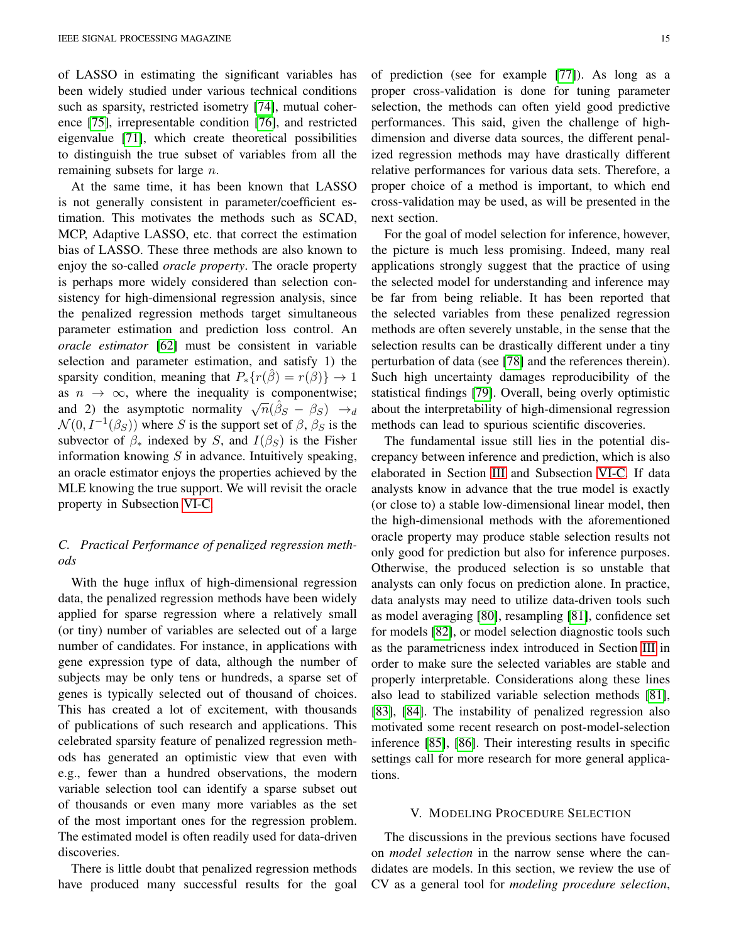of LASSO in estimating the significant variables has been widely studied under various technical conditions such as sparsity, restricted isometry [\[74\]](#page-19-29), mutual coherence [\[75\]](#page-19-30), irrepresentable condition [\[76\]](#page-19-31), and restricted eigenvalue [\[71\]](#page-19-26), which create theoretical possibilities to distinguish the true subset of variables from all the remaining subsets for large  $n$ .

At the same time, it has been known that LASSO is not generally consistent in parameter/coefficient estimation. This motivates the methods such as SCAD, MCP, Adaptive LASSO, etc. that correct the estimation bias of LASSO. These three methods are also known to enjoy the so-called *oracle property*. The oracle property is perhaps more widely considered than selection consistency for high-dimensional regression analysis, since the penalized regression methods target simultaneous parameter estimation and prediction loss control. An *oracle estimator* [\[62\]](#page-19-17) must be consistent in variable selection and parameter estimation, and satisfy 1) the sparsity condition, meaning that  $P_*{r(\beta) = r(\beta)} \rightarrow 1$ as  $n \to \infty$ , where the inequality is componentwise; as  $n \to \infty$ , where the inequality is componentwise,<br>and 2) the asymptotic normality  $\sqrt{n}(\hat{\beta}_S - \beta_S) \to_d$  $\mathcal{N}(0, I^{-1}(\beta_S))$  where S is the support set of  $\beta$ ,  $\beta_S$  is the subvector of  $\beta_*$  indexed by S, and  $I(\beta_S)$  is the Fisher information knowing  $S$  in advance. Intuitively speaking, an oracle estimator enjoys the properties achieved by the MLE knowing the true support. We will revisit the oracle property in Subsection [VI-C.](#page-17-1)

# *C. Practical Performance of penalized regression methods*

With the huge influx of high-dimensional regression data, the penalized regression methods have been widely applied for sparse regression where a relatively small (or tiny) number of variables are selected out of a large number of candidates. For instance, in applications with gene expression type of data, although the number of subjects may be only tens or hundreds, a sparse set of genes is typically selected out of thousand of choices. This has created a lot of excitement, with thousands of publications of such research and applications. This celebrated sparsity feature of penalized regression methods has generated an optimistic view that even with e.g., fewer than a hundred observations, the modern variable selection tool can identify a sparse subset out of thousands or even many more variables as the set of the most important ones for the regression problem. The estimated model is often readily used for data-driven discoveries.

There is little doubt that penalized regression methods have produced many successful results for the goal

selection, the methods can often yield good predictive performances. This said, given the challenge of highdimension and diverse data sources, the different penalized regression methods may have drastically different relative performances for various data sets. Therefore, a proper choice of a method is important, to which end cross-validation may be used, as will be presented in the next section.

For the goal of model selection for inference, however, the picture is much less promising. Indeed, many real applications strongly suggest that the practice of using the selected model for understanding and inference may be far from being reliable. It has been reported that the selected variables from these penalized regression methods are often severely unstable, in the sense that the selection results can be drastically different under a tiny perturbation of data (see [\[78\]](#page-19-33) and the references therein). Such high uncertainty damages reproducibility of the statistical findings [\[79\]](#page-19-34). Overall, being overly optimistic about the interpretability of high-dimensional regression methods can lead to spurious scientific discoveries.

The fundamental issue still lies in the potential discrepancy between inference and prediction, which is also elaborated in Section [III](#page-9-0) and Subsection [VI-C.](#page-17-1) If data analysts know in advance that the true model is exactly (or close to) a stable low-dimensional linear model, then the high-dimensional methods with the aforementioned oracle property may produce stable selection results not only good for prediction but also for inference purposes. Otherwise, the produced selection is so unstable that analysts can only focus on prediction alone. In practice, data analysts may need to utilize data-driven tools such as model averaging [\[80\]](#page-19-35), resampling [\[81\]](#page-19-36), confidence set for models [\[82\]](#page-19-37), or model selection diagnostic tools such as the parametricness index introduced in Section [III](#page-9-0) in order to make sure the selected variables are stable and properly interpretable. Considerations along these lines also lead to stabilized variable selection methods [\[81\]](#page-19-36), [\[83\]](#page-19-38), [\[84\]](#page-19-39). The instability of penalized regression also motivated some recent research on post-model-selection inference [\[85\]](#page-19-40), [\[86\]](#page-19-41). Their interesting results in specific settings call for more research for more general applications.

#### V. MODELING PROCEDURE SELECTION

<span id="page-14-0"></span>The discussions in the previous sections have focused on *model selection* in the narrow sense where the candidates are models. In this section, we review the use of CV as a general tool for *modeling procedure selection*,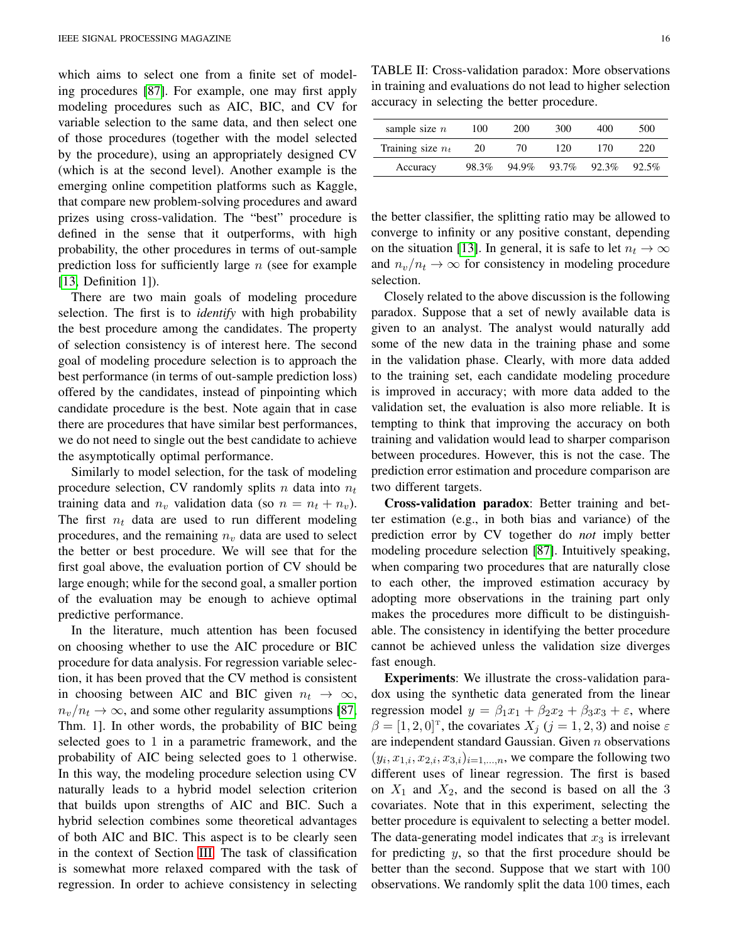which aims to select one from a finite set of modeling procedures [\[87\]](#page-19-42). For example, one may first apply modeling procedures such as AIC, BIC, and CV for variable selection to the same data, and then select one of those procedures (together with the model selected by the procedure), using an appropriately designed CV (which is at the second level). Another example is the emerging online competition platforms such as Kaggle, that compare new problem-solving procedures and award prizes using cross-validation. The "best" procedure is defined in the sense that it outperforms, with high probability, the other procedures in terms of out-sample prediction loss for sufficiently large  $n$  (see for example [\[13,](#page-18-10) Definition 1]).

There are two main goals of modeling procedure selection. The first is to *identify* with high probability the best procedure among the candidates. The property of selection consistency is of interest here. The second goal of modeling procedure selection is to approach the best performance (in terms of out-sample prediction loss) offered by the candidates, instead of pinpointing which candidate procedure is the best. Note again that in case there are procedures that have similar best performances, we do not need to single out the best candidate to achieve the asymptotically optimal performance.

Similarly to model selection, for the task of modeling procedure selection, CV randomly splits n data into  $n_t$ training data and  $n_v$  validation data (so  $n = n_t + n_v$ ). The first  $n_t$  data are used to run different modeling procedures, and the remaining  $n<sub>v</sub>$  data are used to select the better or best procedure. We will see that for the first goal above, the evaluation portion of CV should be large enough; while for the second goal, a smaller portion of the evaluation may be enough to achieve optimal predictive performance.

In the literature, much attention has been focused on choosing whether to use the AIC procedure or BIC procedure for data analysis. For regression variable selection, it has been proved that the CV method is consistent in choosing between AIC and BIC given  $n_t \to \infty$ ,  $n_v/n_t \rightarrow \infty$ , and some other regularity assumptions [\[87,](#page-19-42) Thm. 1]. In other words, the probability of BIC being selected goes to 1 in a parametric framework, and the probability of AIC being selected goes to 1 otherwise. In this way, the modeling procedure selection using CV naturally leads to a hybrid model selection criterion that builds upon strengths of AIC and BIC. Such a hybrid selection combines some theoretical advantages of both AIC and BIC. This aspect is to be clearly seen in the context of Section [III.](#page-9-0) The task of classification is somewhat more relaxed compared with the task of regression. In order to achieve consistency in selecting

<span id="page-15-0"></span>TABLE II: Cross-validation paradox: More observations in training and evaluations do not lead to higher selection accuracy in selecting the better procedure.

| sample size $n$                 |       |       |       |
|---------------------------------|-------|-------|-------|
| Training size $n_t$<br>20<br>70 | 120   | 170   | 220   |
| 94.9%<br>98.3%<br>Accuracy      | 93.7% | 92.3% | 92.5% |

the better classifier, the splitting ratio may be allowed to converge to infinity or any positive constant, depending on the situation [\[13\]](#page-18-10). In general, it is safe to let  $n_t \to \infty$ and  $n_v/n_t \to \infty$  for consistency in modeling procedure selection.

Closely related to the above discussion is the following paradox. Suppose that a set of newly available data is given to an analyst. The analyst would naturally add some of the new data in the training phase and some in the validation phase. Clearly, with more data added to the training set, each candidate modeling procedure is improved in accuracy; with more data added to the validation set, the evaluation is also more reliable. It is tempting to think that improving the accuracy on both training and validation would lead to sharper comparison between procedures. However, this is not the case. The prediction error estimation and procedure comparison are two different targets.

Cross-validation paradox: Better training and better estimation (e.g., in both bias and variance) of the prediction error by CV together do *not* imply better modeling procedure selection [\[87\]](#page-19-42). Intuitively speaking, when comparing two procedures that are naturally close to each other, the improved estimation accuracy by adopting more observations in the training part only makes the procedures more difficult to be distinguishable. The consistency in identifying the better procedure cannot be achieved unless the validation size diverges fast enough.

Experiments: We illustrate the cross-validation paradox using the synthetic data generated from the linear regression model  $y = \beta_1 x_1 + \beta_2 x_2 + \beta_3 x_3 + \varepsilon$ , where  $\beta = [1, 2, 0]^{T}$ , the covariates  $X_j$  ( $j = 1, 2, 3$ ) and noise  $\varepsilon$ are independent standard Gaussian. Given  $n$  observations  $(y_i, x_{1,i}, x_{2,i}, x_{3,i})_{i=1,\dots,n}$ , we compare the following two different uses of linear regression. The first is based on  $X_1$  and  $X_2$ , and the second is based on all the 3 covariates. Note that in this experiment, selecting the better procedure is equivalent to selecting a better model. The data-generating model indicates that  $x_3$  is irrelevant for predicting  $y$ , so that the first procedure should be better than the second. Suppose that we start with 100 observations. We randomly split the data 100 times, each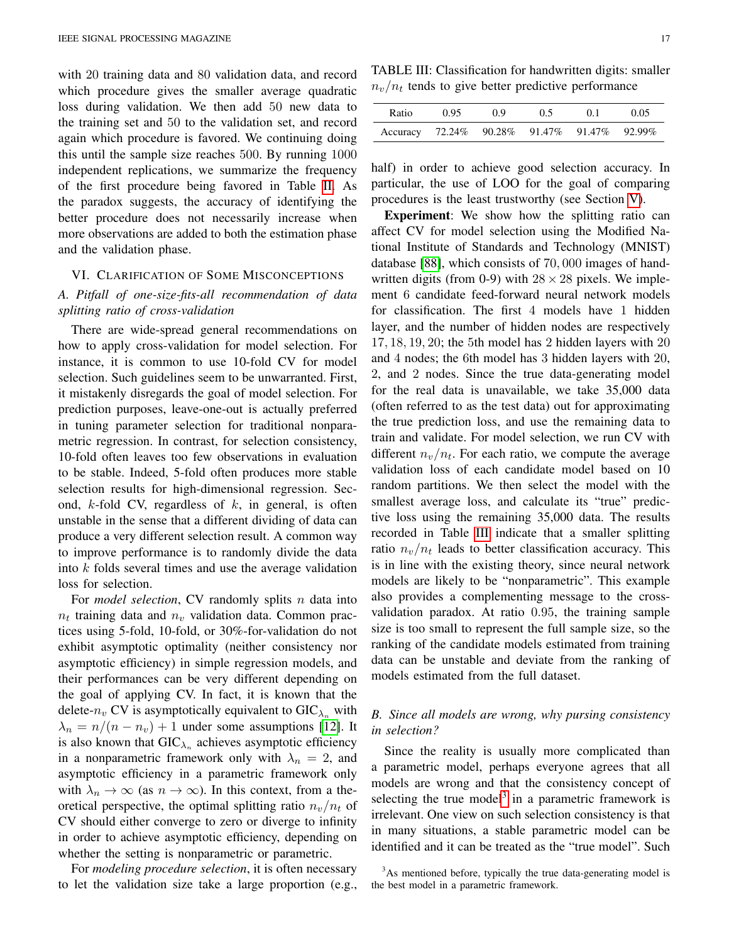with 20 training data and 80 validation data, and record which procedure gives the smaller average quadratic loss during validation. We then add 50 new data to the training set and 50 to the validation set, and record again which procedure is favored. We continuing doing this until the sample size reaches 500. By running 1000 independent replications, we summarize the frequency of the first procedure being favored in Table [II.](#page-15-0) As the paradox suggests, the accuracy of identifying the better procedure does not necessarily increase when more observations are added to both the estimation phase and the validation phase.

### <span id="page-16-0"></span>VI. CLARIFICATION OF SOME MISCONCEPTIONS

# *A. Pitfall of one-size-fits-all recommendation of data splitting ratio of cross-validation*

There are wide-spread general recommendations on how to apply cross-validation for model selection. For instance, it is common to use 10-fold CV for model selection. Such guidelines seem to be unwarranted. First, it mistakenly disregards the goal of model selection. For prediction purposes, leave-one-out is actually preferred in tuning parameter selection for traditional nonparametric regression. In contrast, for selection consistency, 10-fold often leaves too few observations in evaluation to be stable. Indeed, 5-fold often produces more stable selection results for high-dimensional regression. Second,  $k$ -fold CV, regardless of  $k$ , in general, is often unstable in the sense that a different dividing of data can produce a very different selection result. A common way to improve performance is to randomly divide the data into k folds several times and use the average validation loss for selection.

For *model selection*, CV randomly splits *n* data into  $n_t$  training data and  $n_v$  validation data. Common practices using 5-fold, 10-fold, or 30%-for-validation do not exhibit asymptotic optimality (neither consistency nor asymptotic efficiency) in simple regression models, and their performances can be very different depending on the goal of applying CV. In fact, it is known that the delete- $n_v$  CV is asymptotically equivalent to GIC $_{\lambda_n}$  with  $\lambda_n = n/(n - n_v) + 1$  under some assumptions [\[12\]](#page-18-38). It is also known that  $GIC_{\lambda_n}$  achieves asymptotic efficiency in a nonparametric framework only with  $\lambda_n = 2$ , and asymptotic efficiency in a parametric framework only with  $\lambda_n \to \infty$  (as  $n \to \infty$ ). In this context, from a theoretical perspective, the optimal splitting ratio  $n_v/n_t$  of CV should either converge to zero or diverge to infinity in order to achieve asymptotic efficiency, depending on whether the setting is nonparametric or parametric.

For *modeling procedure selection*, it is often necessary to let the validation size take a large proportion (e.g.,

<span id="page-16-2"></span>TABLE III: Classification for handwritten digits: smaller  $n_v/n_t$  tends to give better predictive performance

| Ratio                                       | 0.95 | 09 | 0.5 | 01 | 0.05 |
|---------------------------------------------|------|----|-----|----|------|
| Accuracy 72.24% 90.28% 91.47% 91.47% 92.99% |      |    |     |    |      |

half) in order to achieve good selection accuracy. In particular, the use of LOO for the goal of comparing procedures is the least trustworthy (see Section [V\)](#page-14-0).

Experiment: We show how the splitting ratio can affect CV for model selection using the Modified National Institute of Standards and Technology (MNIST) database [\[88\]](#page-19-43), which consists of 70, 000 images of handwritten digits (from 0-9) with  $28 \times 28$  pixels. We implement 6 candidate feed-forward neural network models for classification. The first 4 models have 1 hidden layer, and the number of hidden nodes are respectively 17, 18, 19, 20; the 5th model has 2 hidden layers with 20 and 4 nodes; the 6th model has 3 hidden layers with 20, 2, and 2 nodes. Since the true data-generating model for the real data is unavailable, we take 35,000 data (often referred to as the test data) out for approximating the true prediction loss, and use the remaining data to train and validate. For model selection, we run CV with different  $n_v/n_t$ . For each ratio, we compute the average validation loss of each candidate model based on 10 random partitions. We then select the model with the smallest average loss, and calculate its "true" predictive loss using the remaining 35,000 data. The results recorded in Table [III](#page-16-2) indicate that a smaller splitting ratio  $n_v/n_t$  leads to better classification accuracy. This is in line with the existing theory, since neural network models are likely to be "nonparametric". This example also provides a complementing message to the crossvalidation paradox. At ratio 0.95, the training sample size is too small to represent the full sample size, so the ranking of the candidate models estimated from training data can be unstable and deviate from the ranking of models estimated from the full dataset.

# <span id="page-16-1"></span>*B. Since all models are wrong, why pursing consistency in selection?*

Since the reality is usually more complicated than a parametric model, perhaps everyone agrees that all models are wrong and that the consistency concept of selecting the true model<sup>[3](#page-16-3)</sup> in a parametric framework is irrelevant. One view on such selection consistency is that in many situations, a stable parametric model can be identified and it can be treated as the "true model". Such

<span id="page-16-3"></span> $3$ As mentioned before, typically the true data-generating model is the best model in a parametric framework.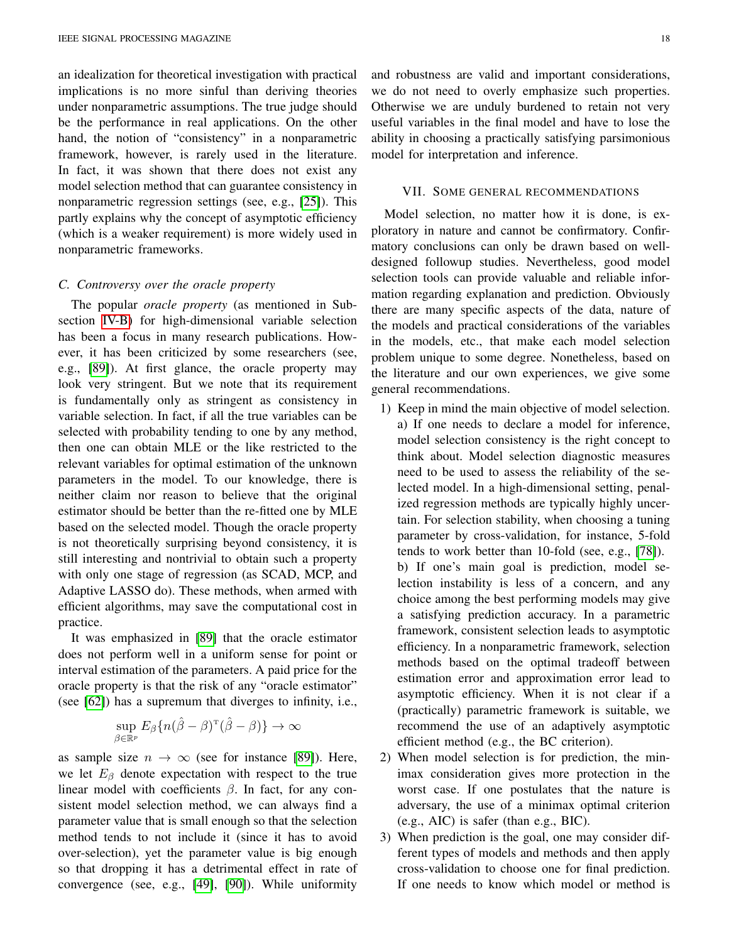an idealization for theoretical investigation with practical implications is no more sinful than deriving theories under nonparametric assumptions. The true judge should be the performance in real applications. On the other hand, the notion of "consistency" in a nonparametric framework, however, is rarely used in the literature. In fact, it was shown that there does not exist any model selection method that can guarantee consistency in nonparametric regression settings (see, e.g., [\[25\]](#page-18-23)). This partly explains why the concept of asymptotic efficiency (which is a weaker requirement) is more widely used in nonparametric frameworks.

#### <span id="page-17-1"></span>*C. Controversy over the oracle property*

The popular *oracle property* (as mentioned in Subsection [IV-B\)](#page-13-0) for high-dimensional variable selection has been a focus in many research publications. However, it has been criticized by some researchers (see, e.g., [\[89\]](#page-20-0)). At first glance, the oracle property may look very stringent. But we note that its requirement is fundamentally only as stringent as consistency in variable selection. In fact, if all the true variables can be selected with probability tending to one by any method, then one can obtain MLE or the like restricted to the relevant variables for optimal estimation of the unknown parameters in the model. To our knowledge, there is neither claim nor reason to believe that the original estimator should be better than the re-fitted one by MLE based on the selected model. Though the oracle property is not theoretically surprising beyond consistency, it is still interesting and nontrivial to obtain such a property with only one stage of regression (as SCAD, MCP, and Adaptive LASSO do). These methods, when armed with efficient algorithms, may save the computational cost in practice.

It was emphasized in [\[89\]](#page-20-0) that the oracle estimator does not perform well in a uniform sense for point or interval estimation of the parameters. A paid price for the oracle property is that the risk of any "oracle estimator" (see [\[62\]](#page-19-17)) has a supremum that diverges to infinity, i.e.,

$$
\sup_{\beta \in \mathbb{R}^p} E_{\beta} \{ n(\hat{\beta} - \beta)^{\mathrm{T}} (\hat{\beta} - \beta) \} \to \infty
$$

as sample size  $n \to \infty$  (see for instance [\[89\]](#page-20-0)). Here, we let  $E_\beta$  denote expectation with respect to the true linear model with coefficients  $\beta$ . In fact, for any consistent model selection method, we can always find a parameter value that is small enough so that the selection method tends to not include it (since it has to avoid over-selection), yet the parameter value is big enough so that dropping it has a detrimental effect in rate of convergence (see, e.g., [\[49\]](#page-19-6), [\[90\]](#page-20-1)). While uniformity and robustness are valid and important considerations, we do not need to overly emphasize such properties. Otherwise we are unduly burdened to retain not very useful variables in the final model and have to lose the ability in choosing a practically satisfying parsimonious model for interpretation and inference.

#### VII. SOME GENERAL RECOMMENDATIONS

<span id="page-17-0"></span>Model selection, no matter how it is done, is exploratory in nature and cannot be confirmatory. Confirmatory conclusions can only be drawn based on welldesigned followup studies. Nevertheless, good model selection tools can provide valuable and reliable information regarding explanation and prediction. Obviously there are many specific aspects of the data, nature of the models and practical considerations of the variables in the models, etc., that make each model selection problem unique to some degree. Nonetheless, based on the literature and our own experiences, we give some general recommendations.

- 1) Keep in mind the main objective of model selection. a) If one needs to declare a model for inference, model selection consistency is the right concept to think about. Model selection diagnostic measures need to be used to assess the reliability of the selected model. In a high-dimensional setting, penalized regression methods are typically highly uncertain. For selection stability, when choosing a tuning parameter by cross-validation, for instance, 5-fold tends to work better than 10-fold (see, e.g., [\[78\]](#page-19-33)). b) If one's main goal is prediction, model selection instability is less of a concern, and any choice among the best performing models may give a satisfying prediction accuracy. In a parametric framework, consistent selection leads to asymptotic efficiency. In a nonparametric framework, selection methods based on the optimal tradeoff between estimation error and approximation error lead to asymptotic efficiency. When it is not clear if a (practically) parametric framework is suitable, we recommend the use of an adaptively asymptotic efficient method (e.g., the BC criterion).
- 2) When model selection is for prediction, the minimax consideration gives more protection in the worst case. If one postulates that the nature is adversary, the use of a minimax optimal criterion (e.g., AIC) is safer (than e.g., BIC).
- 3) When prediction is the goal, one may consider different types of models and methods and then apply cross-validation to choose one for final prediction. If one needs to know which model or method is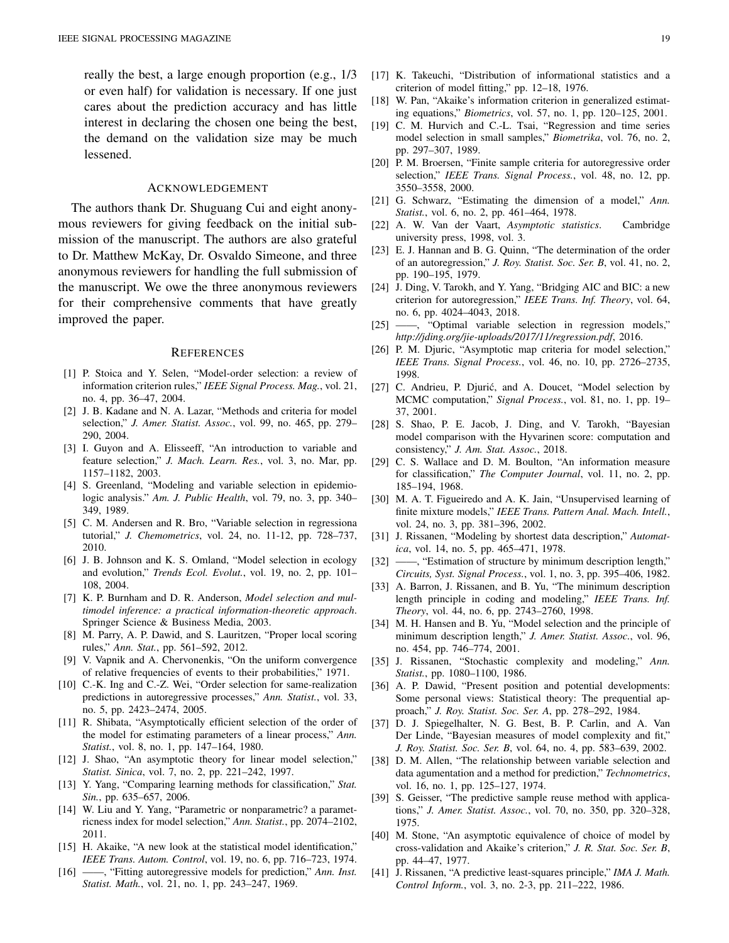really the best, a large enough proportion (e.g., 1/3 or even half) for validation is necessary. If one just cares about the prediction accuracy and has little interest in declaring the chosen one being the best, the demand on the validation size may be much lessened.

#### ACKNOWLEDGEMENT

The authors thank Dr. Shuguang Cui and eight anonymous reviewers for giving feedback on the initial submission of the manuscript. The authors are also grateful to Dr. Matthew McKay, Dr. Osvaldo Simeone, and three anonymous reviewers for handling the full submission of the manuscript. We owe the three anonymous reviewers for their comprehensive comments that have greatly improved the paper.

#### **REFERENCES**

- <span id="page-18-0"></span>[1] P. Stoica and Y. Selen, "Model-order selection: a review of information criterion rules," *IEEE Signal Process. Mag.*, vol. 21, no. 4, pp. 36–47, 2004.
- <span id="page-18-1"></span>[2] J. B. Kadane and N. A. Lazar, "Methods and criteria for model selection," *J. Amer. Statist. Assoc.*, vol. 99, no. 465, pp. 279– 290, 2004.
- <span id="page-18-2"></span>[3] I. Guyon and A. Elisseeff, "An introduction to variable and feature selection," *J. Mach. Learn. Res.*, vol. 3, no. Mar, pp. 1157–1182, 2003.
- <span id="page-18-3"></span>[4] S. Greenland, "Modeling and variable selection in epidemiologic analysis." *Am. J. Public Health*, vol. 79, no. 3, pp. 340– 349, 1989.
- <span id="page-18-4"></span>[5] C. M. Andersen and R. Bro, "Variable selection in regressiona tutorial," *J. Chemometrics*, vol. 24, no. 11-12, pp. 728–737, 2010.
- <span id="page-18-5"></span>[6] J. B. Johnson and K. S. Omland, "Model selection in ecology and evolution," *Trends Ecol. Evolut.*, vol. 19, no. 2, pp. 101– 108, 2004.
- <span id="page-18-6"></span>[7] K. P. Burnham and D. R. Anderson, *Model selection and multimodel inference: a practical information-theoretic approach*. Springer Science & Business Media, 2003.
- <span id="page-18-7"></span>[8] M. Parry, A. P. Dawid, and S. Lauritzen, "Proper local scoring rules," *Ann. Stat.*, pp. 561–592, 2012.
- <span id="page-18-8"></span>[9] V. Vapnik and A. Chervonenkis, "On the uniform convergence of relative frequencies of events to their probabilities," 1971.
- <span id="page-18-11"></span>[10] C.-K. Ing and C.-Z. Wei, "Order selection for same-realization predictions in autoregressive processes," *Ann. Statist.*, vol. 33, no. 5, pp. 2423–2474, 2005.
- <span id="page-18-9"></span>[11] R. Shibata, "Asymptotically efficient selection of the order of the model for estimating parameters of a linear process," *Ann. Statist.*, vol. 8, no. 1, pp. 147–164, 1980.
- <span id="page-18-38"></span>[12] J. Shao, "An asymptotic theory for linear model selection," *Statist. Sinica*, vol. 7, no. 2, pp. 221–242, 1997.
- <span id="page-18-10"></span>[13] Y. Yang, "Comparing learning methods for classification," *Stat. Sin.*, pp. 635–657, 2006.
- <span id="page-18-12"></span>[14] W. Liu and Y. Yang, "Parametric or nonparametric? a parametricness index for model selection," *Ann. Statist.*, pp. 2074–2102, 2011.
- <span id="page-18-13"></span>[15] H. Akaike, "A new look at the statistical model identification," *IEEE Trans. Autom. Control*, vol. 19, no. 6, pp. 716–723, 1974.
- <span id="page-18-14"></span>[16] ——, "Fitting autoregressive models for prediction," *Ann. Inst. Statist. Math.*, vol. 21, no. 1, pp. 243–247, 1969.
- <span id="page-18-15"></span>[17] K. Takeuchi, "Distribution of informational statistics and a criterion of model fitting," pp. 12–18, 1976.
- <span id="page-18-16"></span>[18] W. Pan, "Akaike's information criterion in generalized estimating equations," *Biometrics*, vol. 57, no. 1, pp. 120–125, 2001.
- <span id="page-18-17"></span>[19] C. M. Hurvich and C.-L. Tsai, "Regression and time series model selection in small samples," *Biometrika*, vol. 76, no. 2, pp. 297–307, 1989.
- <span id="page-18-18"></span>[20] P. M. Broersen, "Finite sample criteria for autoregressive order selection," *IEEE Trans. Signal Process.*, vol. 48, no. 12, pp. 3550–3558, 2000.
- <span id="page-18-19"></span>[21] G. Schwarz, "Estimating the dimension of a model," *Ann. Statist.*, vol. 6, no. 2, pp. 461–464, 1978.
- <span id="page-18-20"></span>[22] A. W. Van der Vaart, *Asymptotic statistics*. Cambridge university press, 1998, vol. 3.
- <span id="page-18-21"></span>[23] E. J. Hannan and B. G. Quinn, "The determination of the order of an autoregression," *J. Roy. Statist. Soc. Ser. B*, vol. 41, no. 2, pp. 190–195, 1979.
- <span id="page-18-22"></span>[24] J. Ding, V. Tarokh, and Y. Yang, "Bridging AIC and BIC: a new criterion for autoregression," *IEEE Trans. Inf. Theory*, vol. 64, no. 6, pp. 4024–4043, 2018.
- <span id="page-18-23"></span>[25] ——, "Optimal variable selection in regression models," *http://jding.org/jie-uploads/2017/11/regression.pdf*, 2016.
- <span id="page-18-24"></span>[26] P. M. Djuric, "Asymptotic map criteria for model selection," *IEEE Trans. Signal Process.*, vol. 46, no. 10, pp. 2726–2735, 1998.
- <span id="page-18-25"></span>[27] C. Andrieu, P. Djurić, and A. Doucet, "Model selection by MCMC computation," *Signal Process.*, vol. 81, no. 1, pp. 19– 37, 2001.
- <span id="page-18-26"></span>[28] S. Shao, P. E. Jacob, J. Ding, and V. Tarokh, "Bayesian model comparison with the Hyvarinen score: computation and consistency," *J. Am. Stat. Assoc.*, 2018.
- <span id="page-18-27"></span>[29] C. S. Wallace and D. M. Boulton, "An information measure for classification," *The Computer Journal*, vol. 11, no. 2, pp. 185–194, 1968.
- <span id="page-18-28"></span>[30] M. A. T. Figueiredo and A. K. Jain, "Unsupervised learning of finite mixture models," *IEEE Trans. Pattern Anal. Mach. Intell.*, vol. 24, no. 3, pp. 381–396, 2002.
- <span id="page-18-29"></span>[31] J. Rissanen, "Modeling by shortest data description," *Automatica*, vol. 14, no. 5, pp. 465–471, 1978.
- [32] ——, "Estimation of structure by minimum description length," *Circuits, Syst. Signal Process.*, vol. 1, no. 3, pp. 395–406, 1982.
- [33] A. Barron, J. Rissanen, and B. Yu, "The minimum description length principle in coding and modeling," *IEEE Trans. Inf. Theory*, vol. 44, no. 6, pp. 2743–2760, 1998.
- <span id="page-18-30"></span>[34] M. H. Hansen and B. Yu, "Model selection and the principle of minimum description length," *J. Amer. Statist. Assoc.*, vol. 96, no. 454, pp. 746–774, 2001.
- <span id="page-18-31"></span>[35] J. Rissanen, "Stochastic complexity and modeling," *Ann. Statist.*, pp. 1080–1100, 1986.
- <span id="page-18-32"></span>[36] A. P. Dawid, "Present position and potential developments: Some personal views: Statistical theory: The prequential approach," *J. Roy. Statist. Soc. Ser. A*, pp. 278–292, 1984.
- <span id="page-18-33"></span>[37] D. J. Spiegelhalter, N. G. Best, B. P. Carlin, and A. Van Der Linde, "Bayesian measures of model complexity and fit," *J. Roy. Statist. Soc. Ser. B*, vol. 64, no. 4, pp. 583–639, 2002.
- <span id="page-18-34"></span>[38] D. M. Allen, "The relationship between variable selection and data agumentation and a method for prediction," *Technometrics*, vol. 16, no. 1, pp. 125–127, 1974.
- <span id="page-18-35"></span>[39] S. Geisser, "The predictive sample reuse method with applications," *J. Amer. Statist. Assoc.*, vol. 70, no. 350, pp. 320–328, 1975.
- <span id="page-18-36"></span>[40] M. Stone, "An asymptotic equivalence of choice of model by cross-validation and Akaike's criterion," *J. R. Stat. Soc. Ser. B*, pp. 44–47, 1977.
- <span id="page-18-37"></span>[41] J. Rissanen, "A predictive least-squares principle," *IMA J. Math. Control Inform.*, vol. 3, no. 2-3, pp. 211–222, 1986.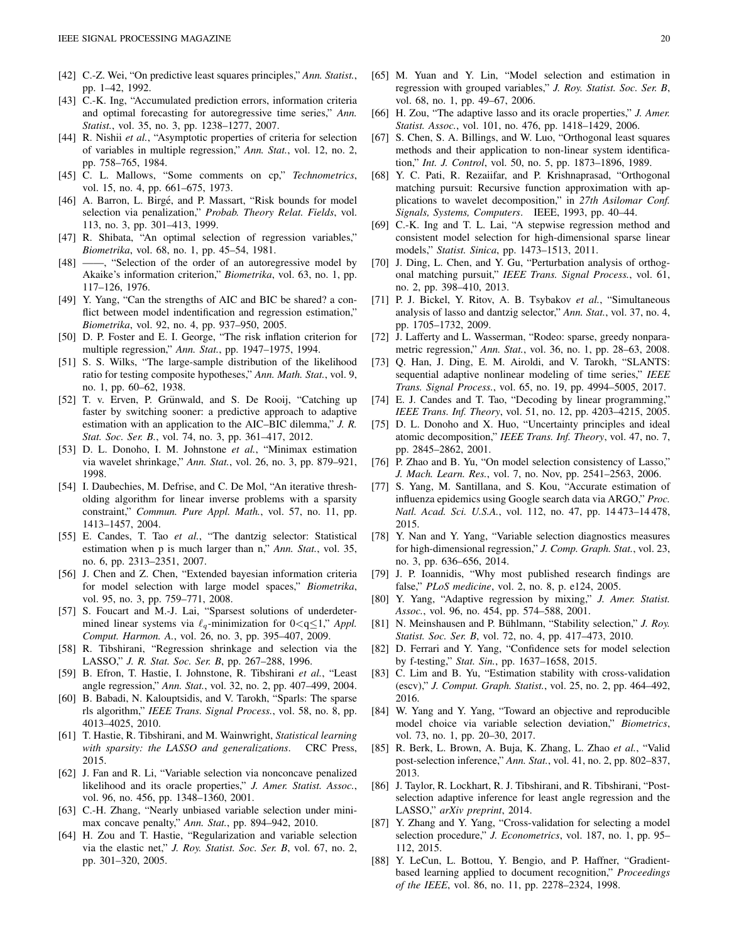- <span id="page-19-0"></span>[42] C.-Z. Wei, "On predictive least squares principles," *Ann. Statist.*, pp. 1–42, 1992.
- <span id="page-19-1"></span>[43] C.-K. Ing, "Accumulated prediction errors, information criteria and optimal forecasting for autoregressive time series," *Ann. Statist.*, vol. 35, no. 3, pp. 1238–1277, 2007.
- <span id="page-19-2"></span>[44] R. Nishii et al., "Asymptotic properties of criteria for selection of variables in multiple regression," *Ann. Stat.*, vol. 12, no. 2, pp. 758–765, 1984.
- <span id="page-19-3"></span>[45] C. L. Mallows, "Some comments on cp," *Technometrics*, vol. 15, no. 4, pp. 661–675, 1973.
- <span id="page-19-4"></span>[46] A. Barron, L. Birgé, and P. Massart, "Risk bounds for model selection via penalization," *Probab. Theory Relat. Fields*, vol. 113, no. 3, pp. 301–413, 1999.
- <span id="page-19-5"></span>[47] R. Shibata, "An optimal selection of regression variables," *Biometrika*, vol. 68, no. 1, pp. 45–54, 1981.
- <span id="page-19-7"></span>[48] ——, "Selection of the order of an autoregressive model by Akaike's information criterion," *Biometrika*, vol. 63, no. 1, pp. 117–126, 1976.
- <span id="page-19-6"></span>[49] Y. Yang, "Can the strengths of AIC and BIC be shared? a conflict between model indentification and regression estimation," *Biometrika*, vol. 92, no. 4, pp. 937–950, 2005.
- <span id="page-19-8"></span>[50] D. P. Foster and E. I. George, "The risk inflation criterion for multiple regression," *Ann. Stat.*, pp. 1947–1975, 1994.
- <span id="page-19-9"></span>[51] S. S. Wilks, "The large-sample distribution of the likelihood ratio for testing composite hypotheses," *Ann. Math. Stat.*, vol. 9, no. 1, pp. 60–62, 1938.
- <span id="page-19-10"></span>[52] T. v. Erven, P. Grünwald, and S. De Rooij, "Catching up faster by switching sooner: a predictive approach to adaptive estimation with an application to the AIC–BIC dilemma," *J. R. Stat. Soc. Ser. B.*, vol. 74, no. 3, pp. 361–417, 2012.
- <span id="page-19-11"></span>[53] D. L. Donoho, I. M. Johnstone *et al.*, "Minimax estimation via wavelet shrinkage," *Ann. Stat.*, vol. 26, no. 3, pp. 879–921, 1998.
- [54] I. Daubechies, M. Defrise, and C. De Mol, "An iterative thresholding algorithm for linear inverse problems with a sparsity constraint," *Commun. Pure Appl. Math.*, vol. 57, no. 11, pp. 1413–1457, 2004.
- [55] E. Candes, T. Tao *et al.*, "The dantzig selector: Statistical estimation when p is much larger than n," *Ann. Stat.*, vol. 35, no. 6, pp. 2313–2351, 2007.
- [56] J. Chen and Z. Chen, "Extended bayesian information criteria for model selection with large model spaces," *Biometrika*, vol. 95, no. 3, pp. 759–771, 2008.
- <span id="page-19-12"></span>[57] S. Foucart and M.-J. Lai, "Sparsest solutions of underdetermined linear systems via  $\ell_q$ -minimization for  $0 < q \leq 1$ ," *Appl. Comput. Harmon. A.*, vol. 26, no. 3, pp. 395–407, 2009.
- <span id="page-19-13"></span>[58] R. Tibshirani, "Regression shrinkage and selection via the LASSO," *J. R. Stat. Soc. Ser. B*, pp. 267–288, 1996.
- <span id="page-19-14"></span>[59] B. Efron, T. Hastie, I. Johnstone, R. Tibshirani *et al.*, "Least angle regression," *Ann. Stat.*, vol. 32, no. 2, pp. 407–499, 2004.
- <span id="page-19-15"></span>[60] B. Babadi, N. Kalouptsidis, and V. Tarokh, "Sparls: The sparse rls algorithm," *IEEE Trans. Signal Process.*, vol. 58, no. 8, pp. 4013–4025, 2010.
- <span id="page-19-16"></span>[61] T. Hastie, R. Tibshirani, and M. Wainwright, *Statistical learning with sparsity: the LASSO and generalizations*. CRC Press, 2015.
- <span id="page-19-17"></span>[62] J. Fan and R. Li, "Variable selection via nonconcave penalized likelihood and its oracle properties," *J. Amer. Statist. Assoc.*, vol. 96, no. 456, pp. 1348–1360, 2001.
- <span id="page-19-18"></span>[63] C.-H. Zhang, "Nearly unbiased variable selection under minimax concave penalty," *Ann. Stat.*, pp. 894–942, 2010.
- <span id="page-19-19"></span>[64] H. Zou and T. Hastie, "Regularization and variable selection via the elastic net," *J. Roy. Statist. Soc. Ser. B*, vol. 67, no. 2, pp. 301–320, 2005.
- <span id="page-19-20"></span>[65] M. Yuan and Y. Lin, "Model selection and estimation in regression with grouped variables," *J. Roy. Statist. Soc. Ser. B*, vol. 68, no. 1, pp. 49–67, 2006.
- <span id="page-19-21"></span>[66] H. Zou, "The adaptive lasso and its oracle properties," *J. Amer. Statist. Assoc.*, vol. 101, no. 476, pp. 1418–1429, 2006.
- <span id="page-19-22"></span>[67] S. Chen, S. A. Billings, and W. Luo, "Orthogonal least squares methods and their application to non-linear system identification," *Int. J. Control*, vol. 50, no. 5, pp. 1873–1896, 1989.
- <span id="page-19-23"></span>[68] Y. C. Pati, R. Rezaiifar, and P. Krishnaprasad, "Orthogonal matching pursuit: Recursive function approximation with applications to wavelet decomposition," in *27th Asilomar Conf. Signals, Systems, Computers*. IEEE, 1993, pp. 40–44.
- <span id="page-19-24"></span>[69] C.-K. Ing and T. L. Lai, "A stepwise regression method and consistent model selection for high-dimensional sparse linear models," *Statist. Sinica*, pp. 1473–1513, 2011.
- <span id="page-19-25"></span>[70] J. Ding, L. Chen, and Y. Gu, "Perturbation analysis of orthogonal matching pursuit," *IEEE Trans. Signal Process.*, vol. 61, no. 2, pp. 398–410, 2013.
- <span id="page-19-26"></span>[71] P. J. Bickel, Y. Ritov, A. B. Tsybakov *et al.*, "Simultaneous analysis of lasso and dantzig selector," *Ann. Stat.*, vol. 37, no. 4, pp. 1705–1732, 2009.
- <span id="page-19-27"></span>[72] J. Lafferty and L. Wasserman, "Rodeo: sparse, greedy nonparametric regression," *Ann. Stat.*, vol. 36, no. 1, pp. 28–63, 2008.
- <span id="page-19-28"></span>[73] O. Han, J. Ding, E. M. Airoldi, and V. Tarokh, "SLANTS: sequential adaptive nonlinear modeling of time series," *IEEE Trans. Signal Process.*, vol. 65, no. 19, pp. 4994–5005, 2017.
- <span id="page-19-29"></span>[74] E. J. Candes and T. Tao, "Decoding by linear programming," *IEEE Trans. Inf. Theory*, vol. 51, no. 12, pp. 4203–4215, 2005.
- <span id="page-19-30"></span>[75] D. L. Donoho and X. Huo, "Uncertainty principles and ideal atomic decomposition," *IEEE Trans. Inf. Theory*, vol. 47, no. 7, pp. 2845–2862, 2001.
- <span id="page-19-31"></span>[76] P. Zhao and B. Yu, "On model selection consistency of Lasso," *J. Mach. Learn. Res.*, vol. 7, no. Nov, pp. 2541–2563, 2006.
- <span id="page-19-32"></span>[77] S. Yang, M. Santillana, and S. Kou, "Accurate estimation of influenza epidemics using Google search data via ARGO," *Proc. Natl. Acad. Sci. U.S.A.*, vol. 112, no. 47, pp. 14 473–14 478, 2015.
- <span id="page-19-33"></span>[78] Y. Nan and Y. Yang, "Variable selection diagnostics measures for high-dimensional regression," *J. Comp. Graph. Stat.*, vol. 23, no. 3, pp. 636–656, 2014.
- <span id="page-19-34"></span>[79] J. P. Ioannidis, "Why most published research findings are false," *PLoS medicine*, vol. 2, no. 8, p. e124, 2005.
- <span id="page-19-35"></span>[80] Y. Yang, "Adaptive regression by mixing," *J. Amer. Statist. Assoc.*, vol. 96, no. 454, pp. 574–588, 2001.
- <span id="page-19-36"></span>[81] N. Meinshausen and P. Bühlmann, "Stability selection," *J. Roy. Statist. Soc. Ser. B*, vol. 72, no. 4, pp. 417–473, 2010.
- <span id="page-19-37"></span>[82] D. Ferrari and Y. Yang, "Confidence sets for model selection by f-testing," *Stat. Sin.*, pp. 1637–1658, 2015.
- <span id="page-19-38"></span>[83] C. Lim and B. Yu, "Estimation stability with cross-validation (escv)," *J. Comput. Graph. Statist.*, vol. 25, no. 2, pp. 464–492, 2016.
- <span id="page-19-39"></span>[84] W. Yang and Y. Yang, "Toward an objective and reproducible model choice via variable selection deviation," *Biometrics*, vol. 73, no. 1, pp. 20–30, 2017.
- <span id="page-19-40"></span>[85] R. Berk, L. Brown, A. Buja, K. Zhang, L. Zhao *et al.*, "Valid post-selection inference," *Ann. Stat.*, vol. 41, no. 2, pp. 802–837, 2013.
- <span id="page-19-41"></span>[86] J. Taylor, R. Lockhart, R. J. Tibshirani, and R. Tibshirani, "Postselection adaptive inference for least angle regression and the LASSO," *arXiv preprint*, 2014.
- <span id="page-19-42"></span>[87] Y. Zhang and Y. Yang, "Cross-validation for selecting a model selection procedure," *J. Econometrics*, vol. 187, no. 1, pp. 95– 112, 2015.
- <span id="page-19-43"></span>[88] Y. LeCun, L. Bottou, Y. Bengio, and P. Haffner, "Gradientbased learning applied to document recognition," *Proceedings of the IEEE*, vol. 86, no. 11, pp. 2278–2324, 1998.